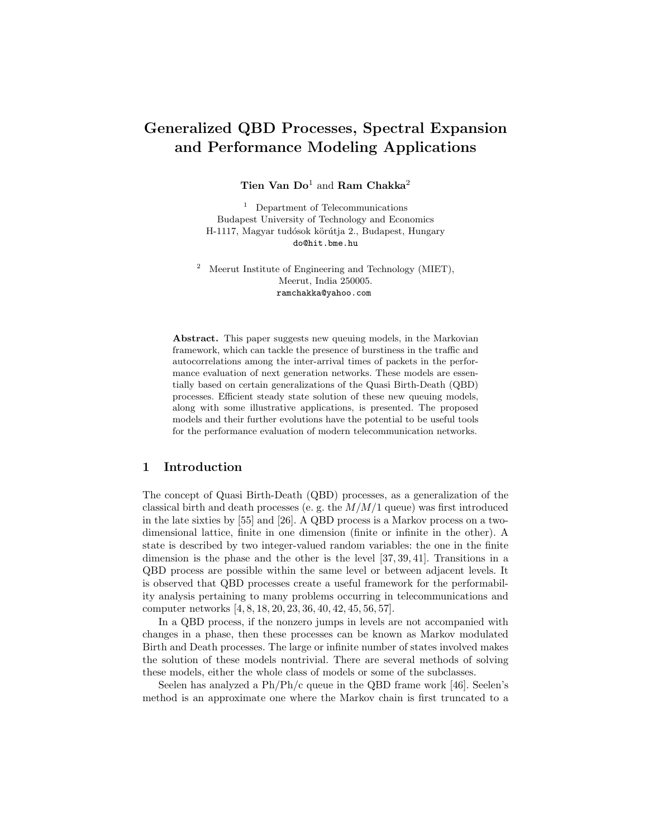# Generalized QBD Processes, Spectral Expansion and Performance Modeling Applications

Tien Van Do<sup>1</sup> and Ram Chakka<sup>2</sup>

<sup>1</sup> Department of Telecommunications Budapest University of Technology and Economics H-1117, Magyar tudósok körútja 2., Budapest, Hungary do@hit.bme.hu

<sup>2</sup> Meerut Institute of Engineering and Technology (MIET), Meerut, India 250005. ramchakka@yahoo.com

Abstract. This paper suggests new queuing models, in the Markovian framework, which can tackle the presence of burstiness in the traffic and autocorrelations among the inter-arrival times of packets in the performance evaluation of next generation networks. These models are essentially based on certain generalizations of the Quasi Birth-Death (QBD) processes. Efficient steady state solution of these new queuing models, along with some illustrative applications, is presented. The proposed models and their further evolutions have the potential to be useful tools for the performance evaluation of modern telecommunication networks.

### 1 Introduction

The concept of Quasi Birth-Death (QBD) processes, as a generalization of the classical birth and death processes (e. g. the  $M/M/1$  queue) was first introduced in the late sixties by [55] and [26]. A QBD process is a Markov process on a twodimensional lattice, finite in one dimension (finite or infinite in the other). A state is described by two integer-valued random variables: the one in the finite dimension is the phase and the other is the level [37, 39, 41]. Transitions in a QBD process are possible within the same level or between adjacent levels. It is observed that QBD processes create a useful framework for the performability analysis pertaining to many problems occurring in telecommunications and computer networks [4, 8, 18, 20, 23, 36, 40, 42, 45, 56, 57].

In a QBD process, if the nonzero jumps in levels are not accompanied with changes in a phase, then these processes can be known as Markov modulated Birth and Death processes. The large or infinite number of states involved makes the solution of these models nontrivial. There are several methods of solving these models, either the whole class of models or some of the subclasses.

Seelen has analyzed a Ph/Ph/c queue in the QBD frame work [46]. Seelen's method is an approximate one where the Markov chain is first truncated to a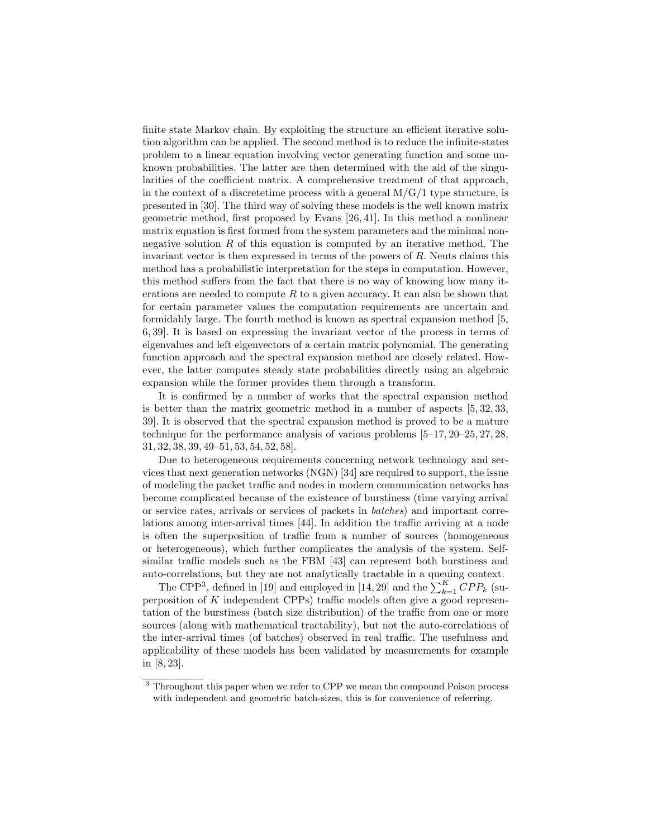finite state Markov chain. By exploiting the structure an efficient iterative solution algorithm can be applied. The second method is to reduce the infinite-states problem to a linear equation involving vector generating function and some unknown probabilities. The latter are then determined with the aid of the singularities of the coefficient matrix. A comprehensive treatment of that approach, in the context of a discrete time process with a general  $M/G/1$  type structure, is presented in [30]. The third way of solving these models is the well known matrix geometric method, first proposed by Evans [26, 41]. In this method a nonlinear matrix equation is first formed from the system parameters and the minimal nonnegative solution  $R$  of this equation is computed by an iterative method. The invariant vector is then expressed in terms of the powers of R. Neuts claims this method has a probabilistic interpretation for the steps in computation. However, this method suffers from the fact that there is no way of knowing how many iterations are needed to compute  $R$  to a given accuracy. It can also be shown that for certain parameter values the computation requirements are uncertain and formidably large. The fourth method is known as spectral expansion method [5, 6, 39]. It is based on expressing the invariant vector of the process in terms of eigenvalues and left eigenvectors of a certain matrix polynomial. The generating function approach and the spectral expansion method are closely related. However, the latter computes steady state probabilities directly using an algebraic expansion while the former provides them through a transform.

It is confirmed by a number of works that the spectral expansion method is better than the matrix geometric method in a number of aspects [5, 32, 33, 39]. It is observed that the spectral expansion method is proved to be a mature technique for the performance analysis of various problems [5–17, 20–25, 27, 28, 31, 32, 38, 39, 49–51, 53, 54, 52, 58].

Due to heterogeneous requirements concerning network technology and services that next generation networks (NGN) [34] are required to support, the issue of modeling the packet traffic and nodes in modern communication networks has become complicated because of the existence of burstiness (time varying arrival or service rates, arrivals or services of packets in batches) and important correlations among inter-arrival times [44]. In addition the traffic arriving at a node is often the superposition of traffic from a number of sources (homogeneous or heterogeneous), which further complicates the analysis of the system. Selfsimilar traffic models such as the FBM [43] can represent both burstiness and auto-correlations, but they are not analytically tractable in a queuing context.

The CPP<sup>3</sup>, defined in [19] and employed in [14, 29] and the  $\sum_{k=1}^{K} CPP_k$  (superposition of  $K$  independent CPPs) traffic models often give a good representation of the burstiness (batch size distribution) of the traffic from one or more sources (along with mathematical tractability), but not the auto-correlations of the inter-arrival times (of batches) observed in real traffic. The usefulness and applicability of these models has been validated by measurements for example in [8, 23].

<sup>&</sup>lt;sup>3</sup> Throughout this paper when we refer to CPP we mean the compound Poison process with independent and geometric batch-sizes, this is for convenience of referring.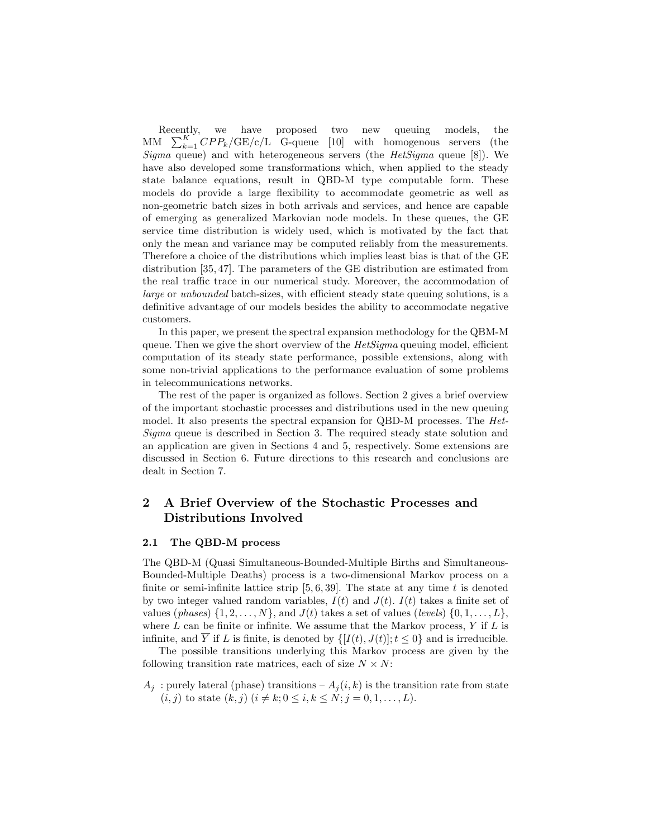Recently, we have proposed two new queuing models, the MM  $\sum_{k=1}^{K} CPP_k/\text{GE/c/L}$  G-queue [10] with homogenous servers (the Sigma queue) and with heterogeneous servers (the  $Hetsigma$  queue [8]). We have also developed some transformations which, when applied to the steady state balance equations, result in QBD-M type computable form. These models do provide a large flexibility to accommodate geometric as well as non-geometric batch sizes in both arrivals and services, and hence are capable of emerging as generalized Markovian node models. In these queues, the GE service time distribution is widely used, which is motivated by the fact that only the mean and variance may be computed reliably from the measurements. Therefore a choice of the distributions which implies least bias is that of the GE distribution [35, 47]. The parameters of the GE distribution are estimated from the real traffic trace in our numerical study. Moreover, the accommodation of large or unbounded batch-sizes, with efficient steady state queuing solutions, is a definitive advantage of our models besides the ability to accommodate negative customers.

In this paper, we present the spectral expansion methodology for the QBM-M queue. Then we give the short overview of the  $Hetsigma$  queuing model, efficient computation of its steady state performance, possible extensions, along with some non-trivial applications to the performance evaluation of some problems in telecommunications networks.

The rest of the paper is organized as follows. Section 2 gives a brief overview of the important stochastic processes and distributions used in the new queuing model. It also presents the spectral expansion for QBD-M processes. The Het-Sigma queue is described in Section 3. The required steady state solution and an application are given in Sections 4 and 5, respectively. Some extensions are discussed in Section 6. Future directions to this research and conclusions are dealt in Section 7.

# 2 A Brief Overview of the Stochastic Processes and Distributions Involved

### 2.1 The QBD-M process

The QBD-M (Quasi Simultaneous-Bounded-Multiple Births and Simultaneous-Bounded-Multiple Deaths) process is a two-dimensional Markov process on a finite or semi-infinite lattice strip  $[5, 6, 39]$ . The state at any time t is denoted by two integer valued random variables,  $I(t)$  and  $J(t)$ .  $I(t)$  takes a finite set of values (*phases*)  $\{1, 2, \ldots, N\}$ , and  $J(t)$  takes a set of values (*levels*)  $\{0, 1, \ldots, L\}$ , where  $L$  can be finite or infinite. We assume that the Markov process,  $Y$  if  $L$  is infinite, and  $\overline{Y}$  if L is finite, is denoted by  $\{[I(t), J(t)]; t \leq 0\}$  and is irreducible.

The possible transitions underlying this Markov process are given by the following transition rate matrices, each of size  $N \times N$ :

 $A_i$ : purely lateral (phase) transitions –  $A_i(i, k)$  is the transition rate from state  $(i, j)$  to state  $(k, j)$   $(i \neq k; 0 \leq i, k \leq N; j = 0, 1, \ldots, L)$ .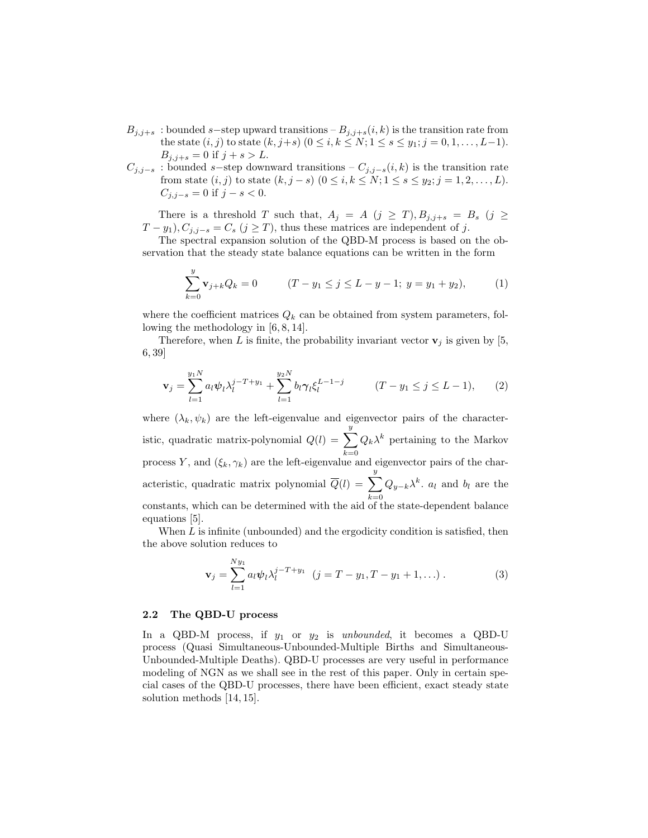- $B_{j,j+s}$ : bounded s-step upward transitions  $B_{j,j+s}(i,k)$  is the transition rate from the state  $(i, j)$  to state  $(k, j+s)$   $(0 \le i, k \le N; 1 \le s \le y_1; j = 0, 1, \ldots, L-1)$ .  $B_{j,j+s} = 0$  if  $j+s > L$ .
- $C_{j,j-s}$ : bounded s–step downward transitions  $C_{j,j-s}(i,k)$  is the transition rate from state  $(i, j)$  to state  $(k, j - s)$   $(0 \le i, k \le N; 1 \le s \le y_2; j = 1, 2, ..., L)$ .  $C_{j,j-s} = 0$  if  $j - s < 0$ .

There is a threshold T such that,  $A_j = A$   $(j \geq T), B_{j,j+s} = B_s$   $(j \geq$  $T - y_1$ ,  $C_{i,j-s} = C_s$   $(j \geq T)$ , thus these matrices are independent of j.

The spectral expansion solution of the QBD-M process is based on the observation that the steady state balance equations can be written in the form

$$
\sum_{k=0}^{y} \mathbf{v}_{j+k} Q_k = 0 \qquad (T - y_1 \le j \le L - y - 1; \ y = y_1 + y_2), \tag{1}
$$

where the coefficient matrices  $Q_k$  can be obtained from system parameters, following the methodology in [6, 8, 14].

Therefore, when L is finite, the probability invariant vector  $\mathbf{v}_i$  is given by [5, 6, 39]

$$
\mathbf{v}_{j} = \sum_{l=1}^{y_{1}N} a_{l} \psi_{l} \lambda_{l}^{j-T+y_{1}} + \sum_{l=1}^{y_{2}N} b_{l} \gamma_{l} \xi_{l}^{L-1-j} \qquad (T - y_{1} \leq j \leq L - 1), \qquad (2)
$$

where  $(\lambda_k, \psi_k)$  are the left-eigenvalue and eigenvector pairs of the characteristic, quadratic matrix-polynomial  $Q(l) = \sum_{l=1}^{N}$  $k=0$  $Q_k \lambda^k$  pertaining to the Markov process Y, and  $(\xi_k, \gamma_k)$  are the left-eigenvalue and eigenvector pairs of the characteristic, quadratic matrix polynomial  $\overline{Q}(l) = \sum_{i=1}^{y}$  $k=0$  $Q_{y-k} \lambda^k$ .  $a_l$  and  $b_l$  are the constants, which can be determined with the aid of the state-dependent balance equations [5].

When  $L$  is infinite (unbounded) and the ergodicity condition is satisfied, then the above solution reduces to

$$
\mathbf{v}_{j} = \sum_{l=1}^{Ny_1} a_l \psi_l \lambda_l^{j-T+y_1} \quad (j = T - y_1, T - y_1 + 1, \ldots) \,. \tag{3}
$$

### 2.2 The QBD-U process

In a QBD-M process, if  $y_1$  or  $y_2$  is unbounded, it becomes a QBD-U process (Quasi Simultaneous-Unbounded-Multiple Births and Simultaneous-Unbounded-Multiple Deaths). QBD-U processes are very useful in performance modeling of NGN as we shall see in the rest of this paper. Only in certain special cases of the QBD-U processes, there have been efficient, exact steady state solution methods [14, 15].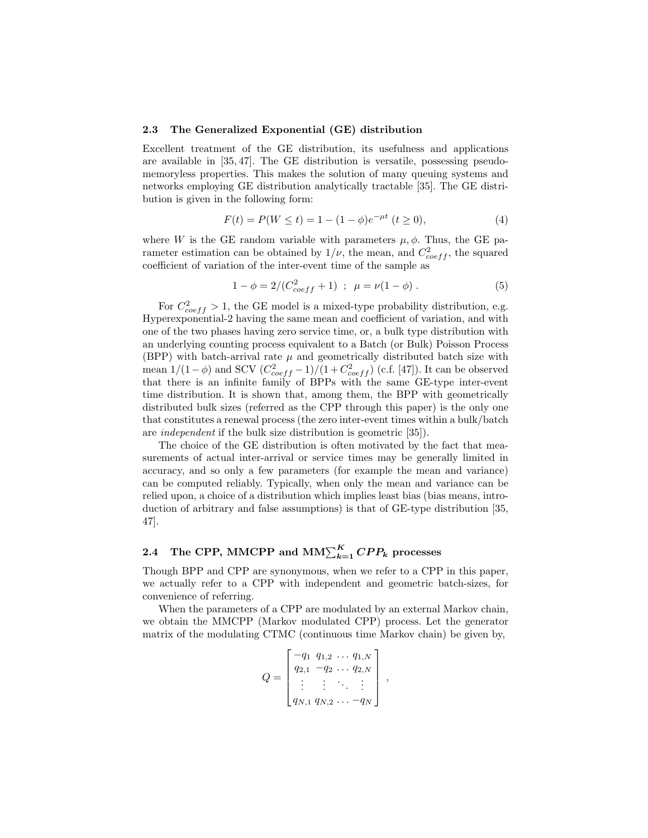### 2.3 The Generalized Exponential (GE) distribution

Excellent treatment of the GE distribution, its usefulness and applications are available in [35, 47]. The GE distribution is versatile, possessing pseudomemoryless properties. This makes the solution of many queuing systems and networks employing GE distribution analytically tractable [35]. The GE distribution is given in the following form:

$$
F(t) = P(W \le t) = 1 - (1 - \phi)e^{-\mu t} \ (t \ge 0),\tag{4}
$$

where W is the GE random variable with parameters  $\mu$ ,  $\phi$ . Thus, the GE parameter estimation can be obtained by  $1/\nu$ , the mean, and  $C_{coeff}^2$ , the squared coefficient of variation of the inter-event time of the sample as

$$
1 - \phi = 2/(C_{coeff}^2 + 1) \ ; \ \mu = \nu(1 - \phi) \ . \tag{5}
$$

For  $C_{coeff}^2 > 1$ , the GE model is a mixed-type probability distribution, e.g. Hyperexponential-2 having the same mean and coefficient of variation, and with one of the two phases having zero service time, or, a bulk type distribution with an underlying counting process equivalent to a Batch (or Bulk) Poisson Process (BPP) with batch-arrival rate  $\mu$  and geometrically distributed batch size with mean  $1/(1-\phi)$  and SCV  $(C_{coeff}^2 - 1)/(1 + C_{coeff}^2)$  (c.f. [47]). It can be observed that there is an infinite family of BPPs with the same GE-type inter-event time distribution. It is shown that, among them, the BPP with geometrically distributed bulk sizes (referred as the CPP through this paper) is the only one that constitutes a renewal process (the zero inter-event times within a bulk/batch are independent if the bulk size distribution is geometric [35]).

The choice of the GE distribution is often motivated by the fact that measurements of actual inter-arrival or service times may be generally limited in accuracy, and so only a few parameters (for example the mean and variance) can be computed reliably. Typically, when only the mean and variance can be relied upon, a choice of a distribution which implies least bias (bias means, introduction of arbitrary and false assumptions) is that of GE-type distribution [35, 47].

# 2.4 The CPP, MMCPP and  $\text{MM}\textstyle{\sum_{k=1}^K} CPP_k$  processes

Though BPP and CPP are synonymous, when we refer to a CPP in this paper, we actually refer to a CPP with independent and geometric batch-sizes, for convenience of referring.

When the parameters of a CPP are modulated by an external Markov chain, we obtain the MMCPP (Markov modulated CPP) process. Let the generator matrix of the modulating CTMC (continuous time Markov chain) be given by,

$$
Q = \begin{bmatrix} -q_1 & q_{1,2} & \dots & q_{1,N} \\ q_{2,1} & -q_2 & \dots & q_{2,N} \\ \vdots & \vdots & \ddots & \vdots \\ q_{N,1} & q_{N,2} & \dots & -q_N \end{bmatrix}
$$

,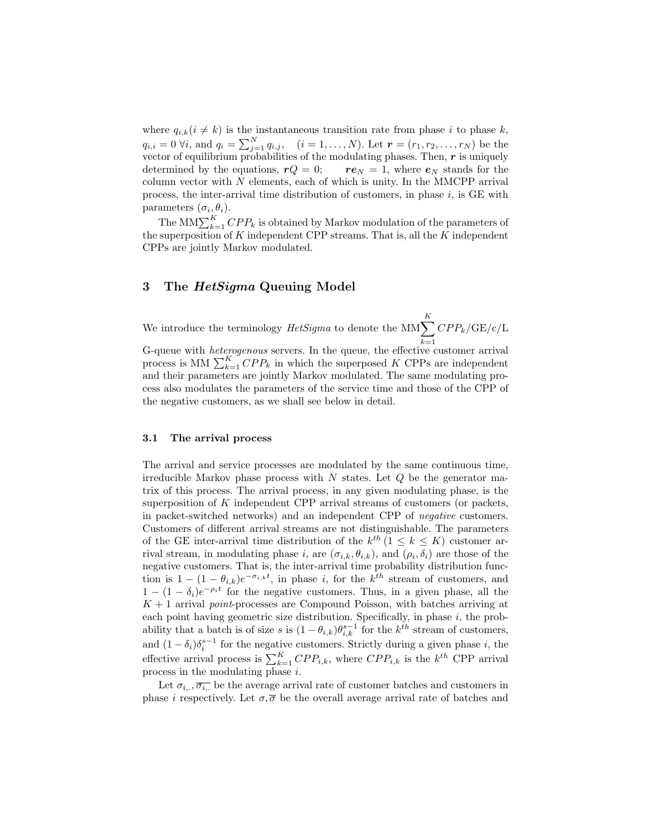where  $q_{i,k}$  ( $i \neq k$ ) is the instantaneous transition rate from phase i to phase k,  $q_{i,i} = 0 \; \forall i, \text{ and } q_i = \sum_{j=1}^N q_{i,j}, \quad (i = 1, \ldots, N)$ . Let  $\bm{r} = (r_1, r_2, \ldots, r_N)$  be the vector of equilibrium probabilities of the modulating phases. Then,  $r$  is uniquely determined by the equations,  $rQ = 0$ ;  $r e_N = 1$ , where  $e_N$  stands for the column vector with  $N$  elements, each of which is unity. In the MMCPP arrival process, the inter-arrival time distribution of customers, in phase  $i$ , is GE with parameters  $(\sigma_i, \theta_i)$ .

The  $\text{MM}_{k=1}^K \text{CPP}_k$  is obtained by Markov modulation of the parameters of the superposition of  $K$  independent CPP streams. That is, all the  $K$  independent CPPs are jointly Markov modulated.

# 3 The HetSigma Queuing Model

We introduce the terminology  $\textit{HetSigma}$  to denote the MM $\sum_{k=1}^{K}$  $k=1$  $\mathit{CPP}_k/\mathrm{GE}/\mathrm{c}/\mathrm{L}$ G-queue with heterogenous servers. In the queue, the effective customer arrival process is MM  $\sum_{k=1}^{K} CPP_k$  in which the superposed K CPPs are independent

and their parameters are jointly Markov modulated. The same modulating process also modulates the parameters of the service time and those of the CPP of the negative customers, as we shall see below in detail.

### 3.1 The arrival process

The arrival and service processes are modulated by the same continuous time, irreducible Markov phase process with  $N$  states. Let  $Q$  be the generator matrix of this process. The arrival process, in any given modulating phase, is the superposition of K independent CPP arrival streams of customers (or packets, in packet-switched networks) and an independent CPP of negative customers. Customers of different arrival streams are not distinguishable. The parameters of the GE inter-arrival time distribution of the  $k^{th}$   $(1 \leq k \leq K)$  customer arrival stream, in modulating phase i, are  $(\sigma_{i,k}, \theta_{i,k})$ , and  $(\rho_i, \delta_i)$  are those of the negative customers. That is, the inter-arrival time probability distribution function is  $1 - (1 - \theta_{i,k})e^{-\sigma_{i,k}t}$ , in phase i, for the  $k^{th}$  stream of customers, and  $1 - (1 - \delta_i)e^{-\rho_i t}$  for the negative customers. Thus, in a given phase, all the  $K + 1$  arrival *point*-processes are Compound Poisson, with batches arriving at each point having geometric size distribution. Specifically, in phase  $i$ , the probability that a batch is of size s is  $(1 - \theta_{i,k})\theta_{i,k}^{s-1}$  for the  $k^{th}$  stream of customers, and  $(1 - \delta_i)\delta_i^{s-1}$  for the negative customers. Strictly during a given phase i, the effective arrival process is  $\sum_{k=1}^{K} CPP_{i,k}$ , where  $CPP_{i,k}$  is the  $k^{th}$  CPP arrival process in the modulating phase i.

Let  $\sigma_{i_{\cdot}}$ ,  $\overline{\sigma_{i_{\cdot}}}$  be the average arrival rate of customer batches and customers in phase i respectively. Let  $\sigma$ ,  $\overline{\sigma}$  be the overall average arrival rate of batches and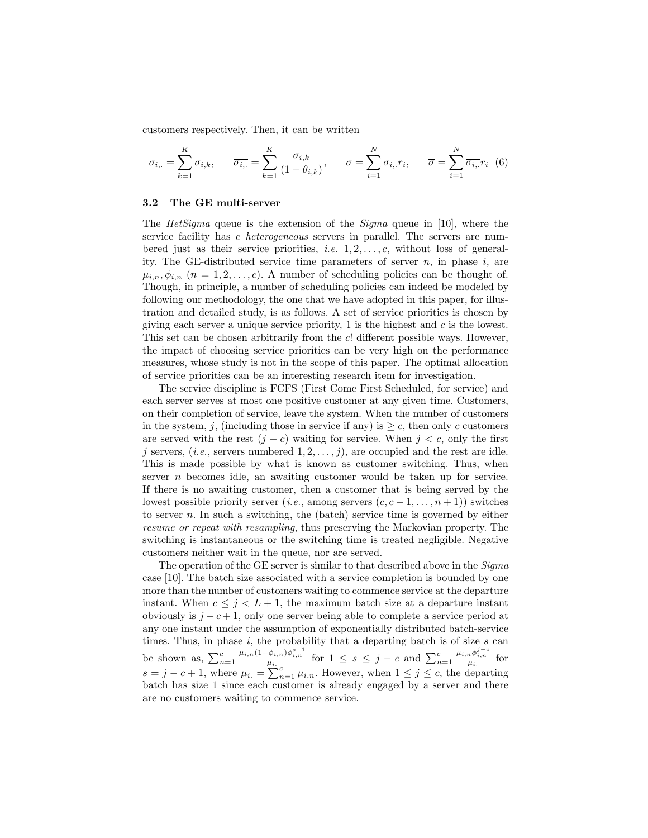customers respectively. Then, it can be written

$$
\sigma_{i,.} = \sum_{k=1}^{K} \sigma_{i,k}, \quad \overline{\sigma_{i,.}} = \sum_{k=1}^{K} \frac{\sigma_{i,k}}{(1 - \theta_{i,k})}, \quad \sigma = \sum_{i=1}^{N} \sigma_{i,.} r_i, \quad \overline{\sigma} = \sum_{i=1}^{N} \overline{\sigma_{i,.}} r_i \tag{6}
$$

#### 3.2 The GE multi-server

The *HetSigma* queue is the extension of the *Sigma* queue in [10], where the service facility has c heterogeneous servers in parallel. The servers are numbered just as their service priorities, *i.e.*  $1, 2, \ldots, c$ , without loss of generality. The GE-distributed service time parameters of server  $n$ , in phase  $i$ , are  $\mu_{i,n}, \phi_{i,n}$   $(n = 1, 2, \ldots, c)$ . A number of scheduling policies can be thought of. Though, in principle, a number of scheduling policies can indeed be modeled by following our methodology, the one that we have adopted in this paper, for illustration and detailed study, is as follows. A set of service priorities is chosen by giving each server a unique service priority,  $1$  is the highest and  $c$  is the lowest. This set can be chosen arbitrarily from the c! different possible ways. However, the impact of choosing service priorities can be very high on the performance measures, whose study is not in the scope of this paper. The optimal allocation of service priorities can be an interesting research item for investigation.

The service discipline is FCFS (First Come First Scheduled, for service) and each server serves at most one positive customer at any given time. Customers, on their completion of service, leave the system. When the number of customers in the system, j, (including those in service if any) is  $\geq c$ , then only c customers are served with the rest  $(j - c)$  waiting for service. When  $j < c$ , only the first j servers, (*i.e.*, servers numbered  $1, 2, \ldots, j$ ), are occupied and the rest are idle. This is made possible by what is known as customer switching. Thus, when server n becomes idle, an awaiting customer would be taken up for service. If there is no awaiting customer, then a customer that is being served by the lowest possible priority server (*i.e.*, among servers  $(c, c - 1, \ldots, n + 1)$ ) switches to server  $n$ . In such a switching, the (batch) service time is governed by either resume or repeat with resampling, thus preserving the Markovian property. The switching is instantaneous or the switching time is treated negligible. Negative customers neither wait in the queue, nor are served.

The operation of the GE server is similar to that described above in the *Sigma* case [10]. The batch size associated with a service completion is bounded by one more than the number of customers waiting to commence service at the departure instant. When  $c \leq j \leq L+1$ , the maximum batch size at a departure instant obviously is  $j - c + 1$ , only one server being able to complete a service period at any one instant under the assumption of exponentially distributed batch-service times. Thus, in phase  $i$ , the probability that a departing batch is of size  $s$  can be shown as,  $\sum_{n=1}^{c}$  $\frac{\mu_{i,n}(1-\phi_{i,n})\phi_{i,n}^{s-1}}{\mu_{i}}$  for  $1 \leq s \leq j-c$  and  $\sum_{n=1}^c$  $\frac{\mu_{i,n}\phi_{i,n}^{j-c}}{\mu_i}$  for  $s = j - c + 1$ , where  $\mu_i = \sum_{n=1}^{n} \mu_{i,n}$ . However, when  $1 \leq j \leq c$ , the departing batch has size 1 since each customer is already engaged by a server and there are no customers waiting to commence service.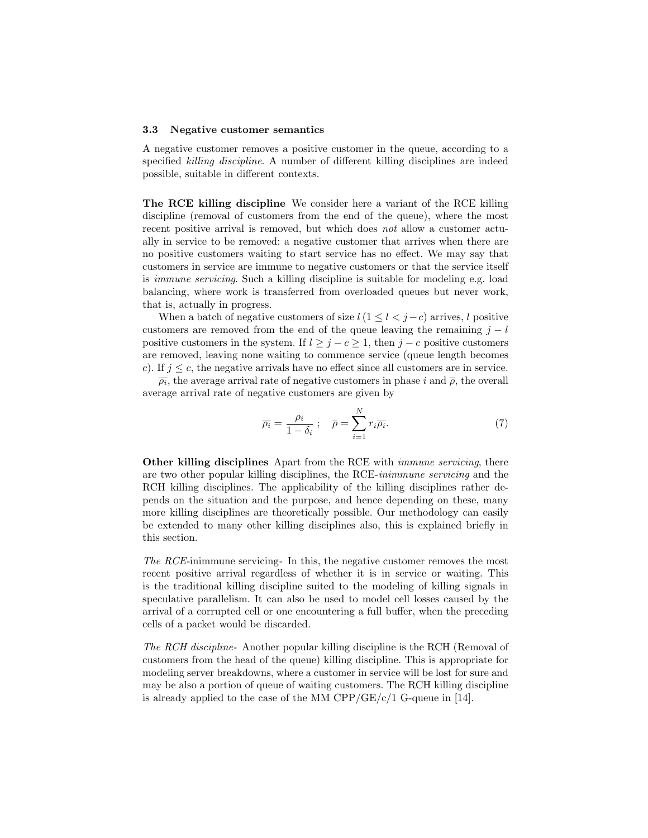#### 3.3 Negative customer semantics

A negative customer removes a positive customer in the queue, according to a specified killing discipline. A number of different killing disciplines are indeed possible, suitable in different contexts.

The RCE killing discipline We consider here a variant of the RCE killing discipline (removal of customers from the end of the queue), where the most recent positive arrival is removed, but which does not allow a customer actually in service to be removed: a negative customer that arrives when there are no positive customers waiting to start service has no effect. We may say that customers in service are immune to negative customers or that the service itself is immune servicing. Such a killing discipline is suitable for modeling e.g. load balancing, where work is transferred from overloaded queues but never work, that is, actually in progress.

When a batch of negative customers of size  $l(1 \leq l \leq j-c)$  arrives, l positive customers are removed from the end of the queue leaving the remaining  $j - l$ positive customers in the system. If  $l \geq j - c \geq 1$ , then  $j - c$  positive customers are removed, leaving none waiting to commence service (queue length becomes c). If  $j \leq c$ , the negative arrivals have no effect since all customers are in service.

 $\overline{\rho_i}$ , the average arrival rate of negative customers in phase i and  $\overline{\rho}$ , the overall average arrival rate of negative customers are given by

$$
\overline{\rho_i} = \frac{\rho_i}{1 - \delta_i} \; ; \quad \overline{\rho} = \sum_{i=1}^N r_i \overline{\rho_i} . \tag{7}
$$

Other killing disciplines Apart from the RCE with *immune servicing*, there are two other popular killing disciplines, the RCE-inimmune servicing and the RCH killing disciplines. The applicability of the killing disciplines rather depends on the situation and the purpose, and hence depending on these, many more killing disciplines are theoretically possible. Our methodology can easily be extended to many other killing disciplines also, this is explained briefly in this section.

The RCE-inimmune servicing- In this, the negative customer removes the most recent positive arrival regardless of whether it is in service or waiting. This is the traditional killing discipline suited to the modeling of killing signals in speculative parallelism. It can also be used to model cell losses caused by the arrival of a corrupted cell or one encountering a full buffer, when the preceding cells of a packet would be discarded.

The RCH discipline- Another popular killing discipline is the RCH (Removal of customers from the head of the queue) killing discipline. This is appropriate for modeling server breakdowns, where a customer in service will be lost for sure and may be also a portion of queue of waiting customers. The RCH killing discipline is already applied to the case of the MM  $\text{CPP}/\text{GE/c}/1$  G-queue in [14].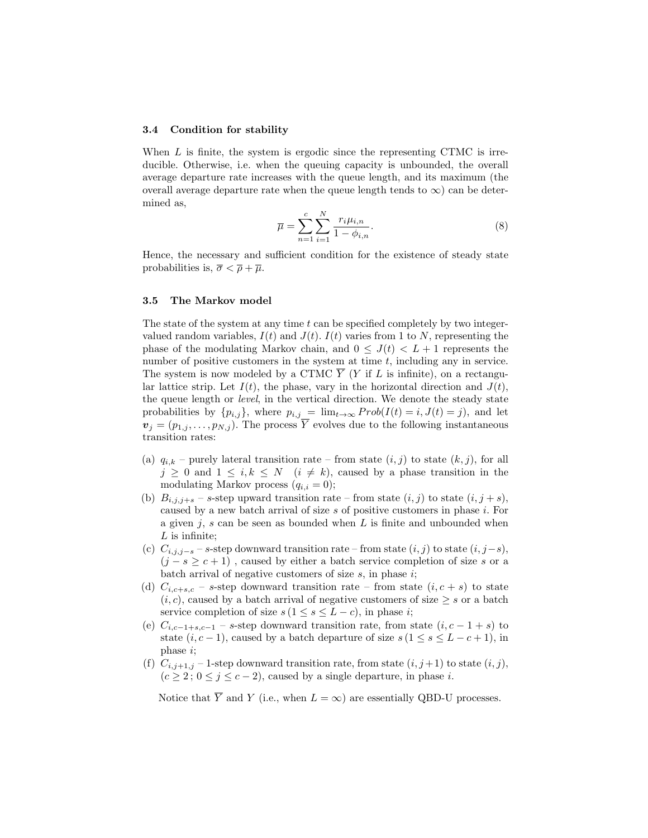#### 3.4 Condition for stability

When  $L$  is finite, the system is ergodic since the representing CTMC is irreducible. Otherwise, i.e. when the queuing capacity is unbounded, the overall average departure rate increases with the queue length, and its maximum (the overall average departure rate when the queue length tends to  $\infty$ ) can be determined as,

$$
\overline{\mu} = \sum_{n=1}^{c} \sum_{i=1}^{N} \frac{r_i \mu_{i,n}}{1 - \phi_{i,n}}.
$$
\n(8)

Hence, the necessary and sufficient condition for the existence of steady state probabilities is,  $\overline{\sigma} < \overline{\rho} + \overline{\mu}$ .

#### 3.5 The Markov model

The state of the system at any time t can be specified completely by two integervalued random variables,  $I(t)$  and  $J(t)$ .  $I(t)$  varies from 1 to N, representing the phase of the modulating Markov chain, and  $0 \leq J(t) < L+1$  represents the number of positive customers in the system at time  $t$ , including any in service. The system is now modeled by a CTMC  $\overline{Y}$  (Y if L is infinite), on a rectangular lattice strip. Let  $I(t)$ , the phase, vary in the horizontal direction and  $J(t)$ , the queue length or level, in the vertical direction. We denote the steady state probabilities by  $\{p_{i,j}\}\$ , where  $p_{i,j} = \lim_{t\to\infty} Prob(I(t) = i, J(t) = j)\$ , and let  $\mathbf{v}_j = (p_{1,j}, \ldots, p_{N,j}).$  The process  $\overline{Y}$  evolves due to the following instantaneous transition rates:

- (a)  $q_{i,k}$  purely lateral transition rate from state  $(i, j)$  to state  $(k, j)$ , for all  $j \geq 0$  and  $1 \leq i, k \leq N$   $(i \neq k)$ , caused by a phase transition in the modulating Markov process  $(q_{i,i} = 0);$
- (b)  $B_{i,j,j+s}$  s-step upward transition rate from state  $(i, j)$  to state  $(i, j + s)$ , caused by a new batch arrival of size  $s$  of positive customers in phase  $i$ . For a given  $j$ , s can be seen as bounded when  $L$  is finite and unbounded when  $L$  is infinite;
- (c)  $C_{i,j,j-s}$  s-step downward transition rate from state  $(i,j)$  to state  $(i,j-s)$ ,  $(j - s \geq c + 1)$ , caused by either a batch service completion of size s or a batch arrival of negative customers of size  $s$ , in phase  $i$ ;
- (d)  $C_{i,c+s,c}$  s-step downward transition rate from state  $(i, c + s)$  to state  $(i, c)$ , caused by a batch arrival of negative customers of size  $\geq s$  or a batch service completion of size  $s (1 \leq s \leq L - c)$ , in phase *i*;
- (e)  $C_{i,c-1+s,c-1}$  s-step downward transition rate, from state  $(i, c-1+s)$  to state  $(i, c - 1)$ , caused by a batch departure of size  $s (1 \le s \le L - c + 1)$ , in phase i;
- (f)  $C_{i,j+1,j}$  1-step downward transition rate, from state  $(i, j+1)$  to state  $(i, j)$ ,  $(c \geq 2; 0 \leq j \leq c-2)$ , caused by a single departure, in phase i.

Notice that  $\overline{Y}$  and Y (i.e., when  $L = \infty$ ) are essentially QBD-U processes.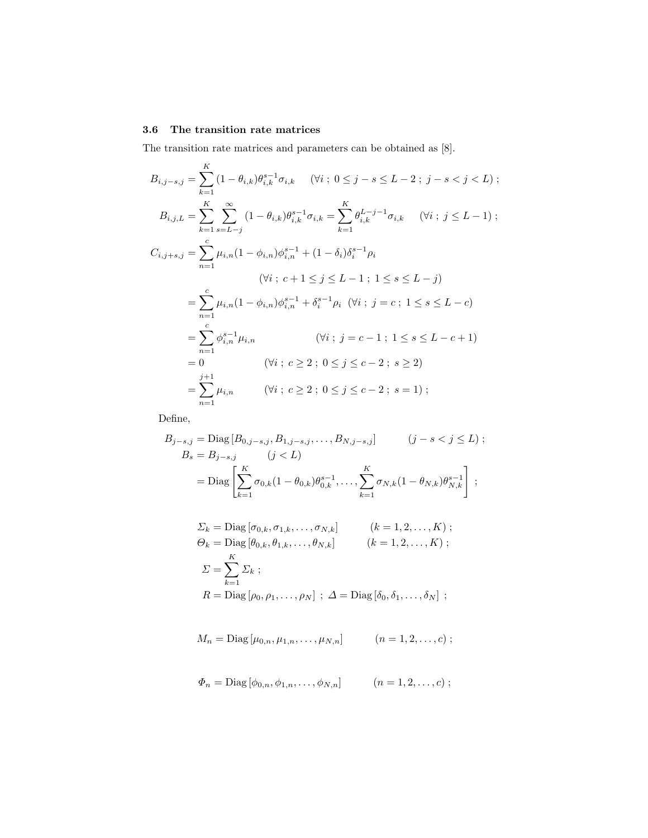# 3.6 The transition rate matrices

The transition rate matrices and parameters can be obtained as [8].

$$
B_{i,j-s,j} = \sum_{k=1}^{K} (1 - \theta_{i,k}) \theta_{i,k}^{s-1} \sigma_{i,k} \quad (\forall i ; 0 \leq j - s \leq L - 2 ; j - s < j < L);
$$
\n
$$
B_{i,j,L} = \sum_{k=1}^{K} \sum_{s=L-j}^{\infty} (1 - \theta_{i,k}) \theta_{i,k}^{s-1} \sigma_{i,k} = \sum_{k=1}^{K} \theta_{i,k}^{L-j-1} \sigma_{i,k} \quad (\forall i ; j \leq L - 1);
$$
\n
$$
C_{i,j+s,j} = \sum_{n=1}^{c} \mu_{i,n} (1 - \phi_{i,n}) \phi_{i,n}^{s-1} + (1 - \delta_i) \delta_i^{s-1} \rho_i
$$
\n
$$
(\forall i ; c+1 \leq j \leq L - 1 ; 1 \leq s \leq L - j)
$$
\n
$$
= \sum_{n=1}^{c} \mu_{i,n} (1 - \phi_{i,n}) \phi_{i,n}^{s-1} + \delta_i^{s-1} \rho_i \quad (\forall i ; j = c ; 1 \leq s \leq L - c)
$$
\n
$$
= \sum_{n=1}^{c} \phi_{i,n}^{s-1} \mu_{i,n} \qquad (\forall i ; j = c - 1 ; 1 \leq s \leq L - c + 1)
$$
\n
$$
= 0 \qquad (\forall i ; c \geq 2 ; 0 \leq j \leq c - 2 ; s \geq 2)
$$
\n
$$
= \sum_{n=1}^{j+1} \mu_{i,n} \qquad (\forall i ; c \geq 2 ; 0 \leq j \leq c - 2 ; s = 1);
$$

Define,

$$
B_{j-s,j} = \text{Diag} [B_{0,j-s,j}, B_{1,j-s,j}, \dots, B_{N,j-s,j}] \qquad (j-s < j \le L) ;
$$
  
\n
$$
B_s = B_{j-s,j} \qquad (j < L)
$$
  
\n
$$
= \text{Diag} \left[ \sum_{k=1}^K \sigma_{0,k} (1 - \theta_{0,k}) \theta_{0,k}^{s-1}, \dots, \sum_{k=1}^K \sigma_{N,k} (1 - \theta_{N,k}) \theta_{N,k}^{s-1} \right] ;
$$

$$
\Sigma_k = \text{Diag} \left[ \sigma_{0,k}, \sigma_{1,k}, \dots, \sigma_{N,k} \right] \qquad (k = 1, 2, \dots, K) ;
$$
\n
$$
\Theta_k = \text{Diag} \left[ \theta_{0,k}, \theta_{1,k}, \dots, \theta_{N,k} \right] \qquad (k = 1, 2, \dots, K) ;
$$
\n
$$
\Sigma = \sum_{k=1}^K \Sigma_k ;
$$
\n
$$
R = \text{Diag} \left[ \rho_0, \rho_1, \dots, \rho_N \right] ; \Delta = \text{Diag} \left[ \delta_0, \delta_1, \dots, \delta_N \right] ;
$$

$$
M_n = \text{Diag}\left[\mu_{0,n}, \mu_{1,n}, \ldots, \mu_{N,n}\right] \qquad (n = 1, 2, \ldots, c);
$$

$$
\Phi_n = \text{Diag}\left[\phi_{0,n}, \phi_{1,n}, \dots, \phi_{N,n}\right] \qquad (n = 1, 2, \dots, c) ;
$$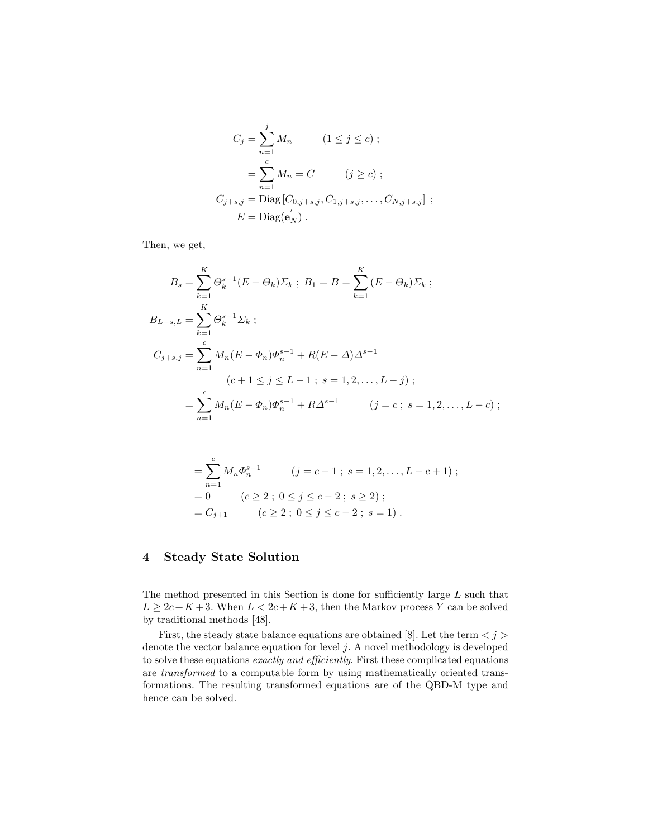$$
C_j = \sum_{n=1}^j M_n \qquad (1 \le j \le c) ;
$$
  
= 
$$
\sum_{n=1}^c M_n = C \qquad (j \ge c) ;
$$
  

$$
C_{j+s,j} = \text{Diag}[C_{0,j+s,j}, C_{1,j+s,j}, \dots, C_{N,j+s,j}] ;
$$
  

$$
E = \text{Diag}(\mathbf{e}_N^{'}) .
$$

Then, we get,

$$
B_{s} = \sum_{k=1}^{K} \Theta_{k}^{s-1} (E - \Theta_{k}) \Sigma_{k} ; B_{1} = B = \sum_{k=1}^{K} (E - \Theta_{k}) \Sigma_{k} ;
$$
  
\n
$$
B_{L-s,L} = \sum_{k=1}^{K} \Theta_{k}^{s-1} \Sigma_{k} ;
$$
  
\n
$$
C_{j+s,j} = \sum_{n=1}^{c} M_{n} (E - \Phi_{n}) \Phi_{n}^{s-1} + R(E - \Delta) \Delta^{s-1}
$$
  
\n
$$
(c+1 \leq j \leq L-1 ; s = 1, 2, ..., L-j) ;
$$
  
\n
$$
= \sum_{n=1}^{c} M_{n} (E - \Phi_{n}) \Phi_{n}^{s-1} + R \Delta^{s-1} \qquad (j = c; s = 1, 2, ..., L-c) ;
$$

$$
= \sum_{n=1}^{c} M_n \Phi_n^{s-1} \qquad (j = c - 1 \; ; \; s = 1, 2, \dots, L - c + 1) \; ;
$$
  
= 0 \qquad (c \ge 2 \; ; \; 0 \le j \le c - 2 \; ; \; s \ge 2) \; ;  
= C\_{j+1} \qquad (c \ge 2 \; ; \; 0 \le j \le c - 2 \; ; \; s = 1) \; .

# 4 Steady State Solution

The method presented in this Section is done for sufficiently large  $L$  such that  $L \geq 2c + K + 3$ . When  $L < 2c + K + 3$ , then the Markov process  $\overrightarrow{Y}$  can be solved by traditional methods [48].

First, the steady state balance equations are obtained [8]. Let the term  $\langle j \rangle$ denote the vector balance equation for level  $j$ . A novel methodology is developed to solve these equations exactly and efficiently. First these complicated equations are transformed to a computable form by using mathematically oriented transformations. The resulting transformed equations are of the QBD-M type and hence can be solved.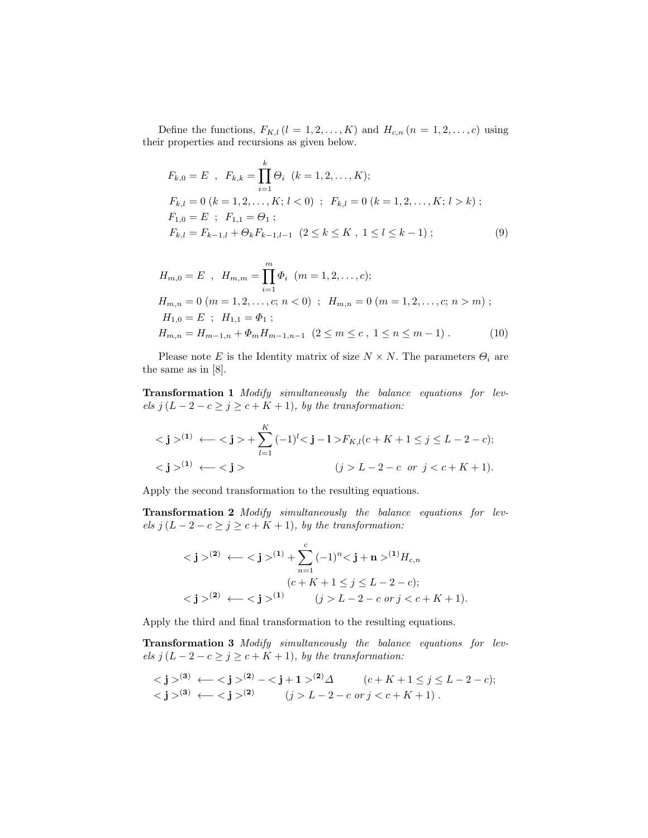Define the functions,  $F_{K,l}$   $(l = 1, 2, \ldots, K)$  and  $H_{c,n}$   $(n = 1, 2, \ldots, c)$  using their properties and recursions as given below.

$$
F_{k,0} = E, F_{k,k} = \prod_{i=1}^{k} \Theta_i \ (k = 1, 2, ..., K);
$$
  
\n
$$
F_{k,l} = 0 \ (k = 1, 2, ..., K; l < 0) \ ; \ F_{k,l} = 0 \ (k = 1, 2, ..., K; l > k) \ ;
$$
  
\n
$$
F_{1,0} = E \ ; \ F_{1,1} = \Theta_1 \ ;
$$
  
\n
$$
F_{k,l} = F_{k-1,l} + \Theta_k F_{k-1,l-1} \ (2 \le k \le K \ , \ 1 \le l \le k-1) \ ;
$$
  
\n(9)

$$
H_{m,0} = E, \quad H_{m,m} = \prod_{i=1}^{m} \Phi_i \quad (m = 1, 2, \dots, c);
$$
  
\n
$$
H_{m,n} = 0 \quad (m = 1, 2, \dots, c; \ n < 0) \quad ; \quad H_{m,n} = 0 \quad (m = 1, 2, \dots, c; \ n > m) \quad ;
$$
  
\n
$$
H_{1,0} = E \quad ; \quad H_{1,1} = \Phi_1 \quad ;
$$
  
\n
$$
H_{m,n} = H_{m-1,n} + \Phi_m H_{m-1,n-1} \quad (2 \le m \le c, \ 1 \le n \le m-1) \quad (10)
$$

Please note E is the Identity matrix of size  $N \times N$ . The parameters  $\Theta_i$  are the same as in [8].

Transformation 1 Modify simultaneously the balance equations for levels j  $(L - 2 - c \ge j \ge c + K + 1)$ , by the transformation:

$$
\langle \mathbf{j} \rangle^{(1)} \leftarrow \langle \mathbf{j} \rangle + \sum_{l=1}^{K} (-1)^{l} \langle \mathbf{j} - \mathbf{l} \rangle F_{K,l}(c + K + 1 \le j \le L - 2 - c);
$$
  

$$
\langle \mathbf{j} \rangle^{(1)} \leftarrow \langle \mathbf{j} \rangle \qquad (j > L - 2 - c \text{ or } j < c + K + 1).
$$

Apply the second transformation to the resulting equations.

Transformation 2 Modify simultaneously the balance equations for levels j (L − 2 − c ≥ j ≥ c + K + 1), by the transformation:

$$
\langle \mathbf{j} \rangle^{(2)} \leftarrow \langle \mathbf{j} \rangle^{(1)} + \sum_{n=1}^{c} (-1)^n \langle \mathbf{j} + \mathbf{n} \rangle^{(1)} H_{c,n}
$$
  

$$
(c + K + 1 \le j \le L - 2 - c);
$$
  

$$
\langle \mathbf{j} \rangle^{(2)} \leftarrow \langle \mathbf{j} \rangle^{(1)} \qquad (j > L - 2 - c \text{ or } j < c + K + 1).
$$

Apply the third and final transformation to the resulting equations.

Transformation 3 Modify simultaneously the balance equations for levels  $j (L - 2 - c \ge j \ge c + K + 1)$ , by the transformation:

$$
\langle \mathbf{j} \rangle^{(3)} \leftarrow \langle \mathbf{j} \rangle^{(2)} - \langle \mathbf{j} + 1 \rangle^{(2)} \Delta \qquad (c + K + 1 \le j \le L - 2 - c);
$$
  

$$
\langle \mathbf{j} \rangle^{(3)} \leftarrow \langle \mathbf{j} \rangle^{(2)} \qquad (j > L - 2 - c \text{ or } j < c + K + 1).
$$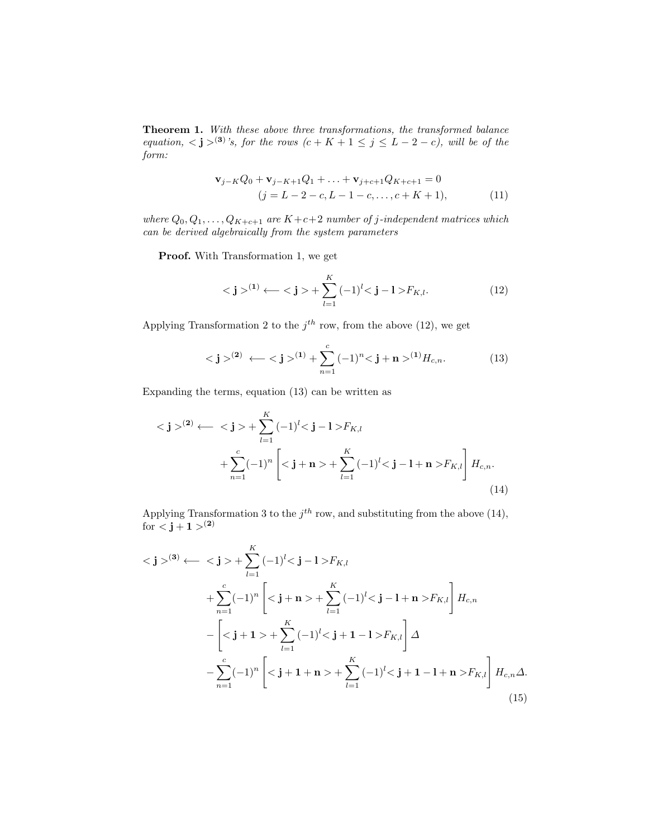Theorem 1. With these above three transformations, the transformed balance equation,  $\langle \mathbf{j} \rangle^{(3)}$ 's, for the rows  $(c+K+1 \leq j \leq L-2-c)$ , will be of the form:

$$
\mathbf{v}_{j-K}Q_0 + \mathbf{v}_{j-K+1}Q_1 + \dots + \mathbf{v}_{j+c+1}Q_{K+c+1} = 0
$$
  
(*j* = *L* – 2 – *c*, *L* – 1 – *c*, ..., *c* + *K* + 1), (11)

where  $Q_0, Q_1, \ldots, Q_{K+c+1}$  are  $K+c+2$  number of j-independent matrices which can be derived algebraically from the system parameters

Proof. With Transformation 1, we get

$$
<\mathbf{j}>\^{(1)}\leftarrow <\mathbf{j}>+\sum_{l=1}^{K}(-1)^{l}<\mathbf{j}-1>F_{K,l}.
$$
 (12)

Applying Transformation 2 to the  $j<sup>th</sup>$  row, from the above (12), we get

$$
<\mathbf{j}>\^{(2)}\leftarrow <\mathbf{j}>\^{(1)}+\sum_{n=1}^{c}(-1)^{n}<\mathbf{j}+\mathbf{n}>^{(1)}H_{c,n}.
$$
 (13)

Expanding the terms, equation (13) can be written as

$$
\langle \mathbf{j} \rangle^{(2)} \leftarrow \langle \mathbf{j} \rangle + \sum_{l=1}^{K} (-1)^{l} \langle \mathbf{j} - \mathbf{l} \rangle F_{K,l} + \sum_{n=1}^{c} (-1)^{n} \left[ \langle \mathbf{j} + \mathbf{n} \rangle + \sum_{l=1}^{K} (-1)^{l} \langle \mathbf{j} - \mathbf{l} + \mathbf{n} \rangle F_{K,l} \right] H_{c,n}.
$$
\n(14)

Applying Transformation 3 to the  $j<sup>th</sup>$  row, and substituting from the above (14), for  $\langle j+1 \rangle^{(2)}$ 

$$
\langle \mathbf{j} \rangle^{(3)} \leftarrow \langle \mathbf{j} \rangle + \sum_{l=1}^{K} (-1)^{l} \langle \mathbf{j} - \mathbf{l} \rangle F_{K,l} \n+ \sum_{n=1}^{c} (-1)^{n} \left[ \langle \mathbf{j} + \mathbf{n} \rangle + \sum_{l=1}^{K} (-1)^{l} \langle \mathbf{j} - \mathbf{l} + \mathbf{n} \rangle F_{K,l} \right] H_{c,n} \n- \left[ \langle \mathbf{j} + \mathbf{1} \rangle + \sum_{l=1}^{K} (-1)^{l} \langle \mathbf{j} + \mathbf{1} - \mathbf{l} \rangle F_{K,l} \right] \Delta \n- \sum_{n=1}^{c} (-1)^{n} \left[ \langle \mathbf{j} + \mathbf{1} + \mathbf{n} \rangle + \sum_{l=1}^{K} (-1)^{l} \langle \mathbf{j} + \mathbf{1} - \mathbf{l} + \mathbf{n} \rangle F_{K,l} \right] H_{c,n} \Delta.
$$
\n(15)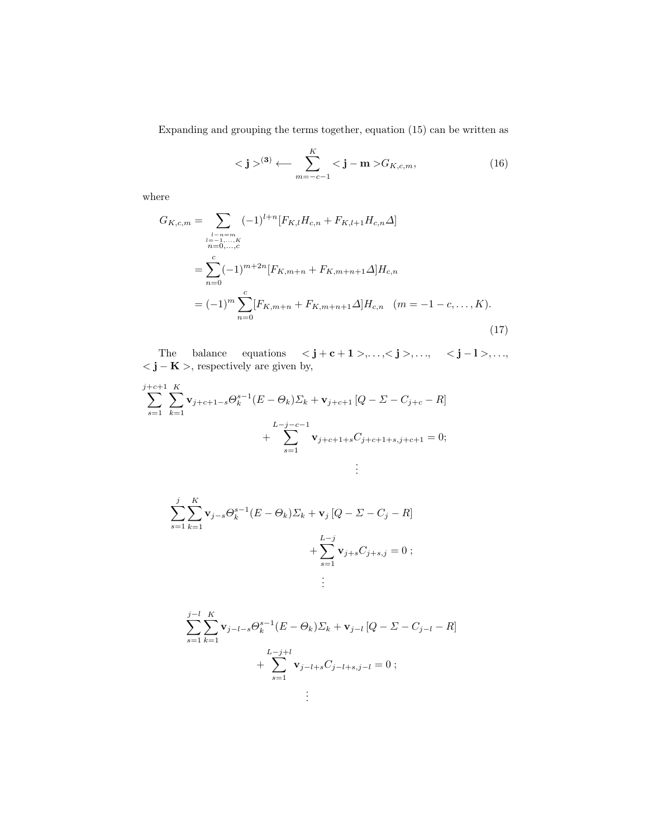Expanding and grouping the terms together, equation (15) can be written as

$$
\langle \mathbf{j} \rangle^{(3)} \longleftarrow \sum_{m=-c-1}^{K} \langle \mathbf{j} - \mathbf{m} \rangle G_{K,c,m}, \tag{16}
$$

where

$$
G_{K,c,m} = \sum_{\substack{l=n=m\\n=0,\dots,K\\n=0,\dots,c}} (-1)^{l+n} [F_{K,l} H_{c,n} + F_{K,l+1} H_{c,n} \Delta]
$$
  
= 
$$
\sum_{n=0}^{c} (-1)^{m+2n} [F_{K,m+n} + F_{K,m+n+1} \Delta] H_{c,n}
$$
  
= 
$$
(-1)^m \sum_{n=0}^{c} [F_{K,m+n} + F_{K,m+n+1} \Delta] H_{c,n} \quad (m = -1 - c, \dots, K).
$$
 (17)

The balance equations  $\langle j+c+1 \rangle, \ldots, \langle j \rangle, \ldots, \langle j-l \rangle, \ldots$  $\langle \mathbf{j}-\mathbf{K}\rangle$ , respectively are given by,

$$
\sum_{s=1}^{j+c+1} \sum_{k=1}^{K} \mathbf{v}_{j+c+1-s} \Theta_k^{s-1} (E - \Theta_k) \Sigma_k + \mathbf{v}_{j+c+1} [Q - \Sigma - C_{j+c} - R] + \sum_{s=1}^{L-j-c-1} \mathbf{v}_{j+c+1+s} C_{j+c+1+s, j+c+1} = 0;
$$

$$
\sum_{s=1}^{j} \sum_{k=1}^{K} \mathbf{v}_{j-s} \Theta_k^{s-1} (E - \Theta_k) \Sigma_k + \mathbf{v}_j [Q - \Sigma - C_j - R] + \sum_{s=1}^{L-j} \mathbf{v}_{j+s} C_{j+s,j} = 0 ;
$$
  
:

$$
\sum_{s=1}^{j-l} \sum_{k=1}^{K} \mathbf{v}_{j-l-s} \Theta_k^{s-1} (E - \Theta_k) \Sigma_k + \mathbf{v}_{j-l} [Q - \Sigma - C_{j-l} - R] + \sum_{s=1}^{L-j+l} \mathbf{v}_{j-l+s} C_{j-l+s,j-l} = 0 ;
$$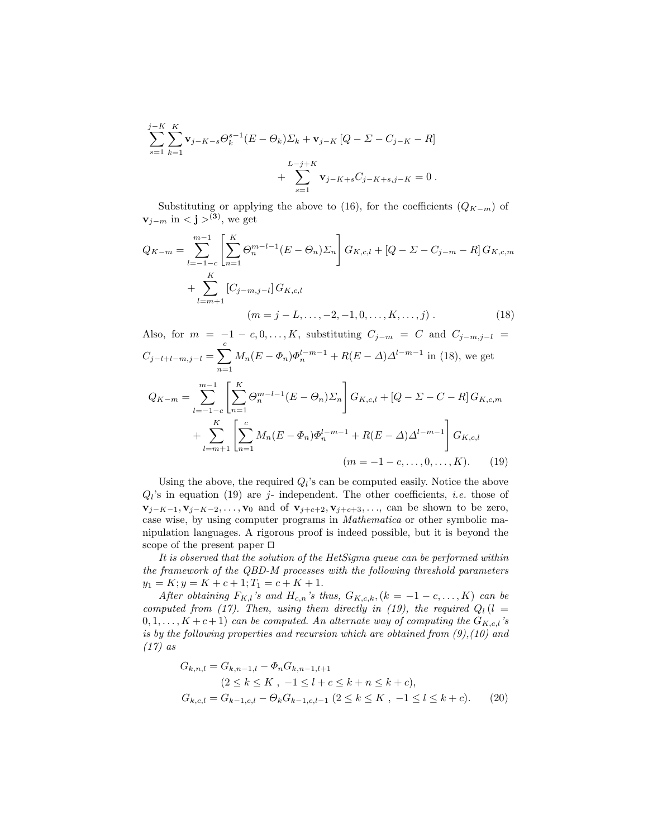$$
\sum_{s=1}^{j-K} \sum_{k=1}^{K} \mathbf{v}_{j-K-s} \Theta_k^{s-1} (E - \Theta_k) \Sigma_k + \mathbf{v}_{j-K} [Q - \Sigma - C_{j-K} - R] + \sum_{s=1}^{L-j+K} \mathbf{v}_{j-K+s} C_{j-K+s,j-K} = 0.
$$

Substituting or applying the above to (16), for the coefficients  $(Q_{K-m})$  of  $v_{j-m}$  in  $\langle j \rangle^{(3)}$ , we get

$$
Q_{K-m} = \sum_{l=-1-c}^{m-1} \left[ \sum_{n=1}^{K} \Theta_n^{m-l-1} (E - \Theta_n) \Sigma_n \right] G_{K,c,l} + [Q - \Sigma - C_{j-m} - R] G_{K,c,m}
$$
  
+ 
$$
\sum_{l=m+1}^{K} [C_{j-m,j-l}] G_{K,c,l}
$$
  
( $m = j - L, ..., -2, -1, 0, ..., K, ..., j$ ). (18)

Also, for  $m = -1 - c, 0, \ldots, K$ , substituting  $C_{j-m} = C$  and  $C_{j-m,j-l} =$  $C_{j-l+l-m,j-l} = \sum_{l=0}^{c}$  $n=1$  $M_n(E - \Phi_n)\Phi_n^{l-m-1} + R(E - \Delta)\Delta^{l-m-1}$  in (18), we get  $Q_{K-m} =$  $\sum^{m-1}$  $l=-1-c$  $\left[\frac{K}{\sum_{i=1}^{K}}\right]$  $n=1$  $\Theta_n^{m-l-1}(E-\Theta_n)\Sigma_n$ 1  $G_{K,c,l} + \left[Q - \varSigma - C - R\right] G_{K,c,m}$ K 1

+ 
$$
\sum_{l=m+1}^{K} \left[ \sum_{n=1}^{c} M_n (E - \Phi_n) \Phi_n^{l-m-1} + R(E - \Delta) \Delta^{l-m-1} \right] G_{K,c,l}
$$
  
(*m* = -1 - *c*, ..., 0, ..., *K*). (19)

Using the above, the required  $Q_l$ 's can be computed easily. Notice the above  $Q_l$ 's in equation (19) are j- independent. The other coefficients, *i.e.* those of  ${\bf v}_{i-K-1}, {\bf v}_{i-K-2}, \ldots, {\bf v}_0$  and of  ${\bf v}_{i+c+2}, {\bf v}_{i+c+3}, \ldots$ , can be shown to be zero, case wise, by using computer programs in Mathematica or other symbolic manipulation languages. A rigorous proof is indeed possible, but it is beyond the scope of the present paper  $\Box$ 

It is observed that the solution of the HetSigma queue can be performed within the framework of the QBD-M processes with the following threshold parameters  $y_1 = K$ ;  $y = K + c + 1$ ;  $T_1 = c + K + 1$ .

After obtaining  $F_{K,l}$ 's and  $H_{c,n}$ 's thus,  $G_{K,c,k}$ ,  $(k = -1-c, \ldots, K)$  can be computed from (17). Then, using them directly in (19), the required  $Q_l$  (l =  $0, 1, \ldots, K+c+1$  can be computed. An alternate way of computing the  $G_{K,c,l}$ 's is by the following properties and recursion which are obtained from  $(9)$ , $(10)$  and  $(17)$  as

$$
G_{k,n,l} = G_{k,n-1,l} - \Phi_n G_{k,n-1,l+1}
$$
  
\n
$$
(2 \le k \le K, -1 \le l+c \le k+n \le k+c),
$$
  
\n
$$
G_{k,c,l} = G_{k-1,c,l} - \Theta_k G_{k-1,c,l-1} \ (2 \le k \le K, -1 \le l \le k+c).
$$
 (20)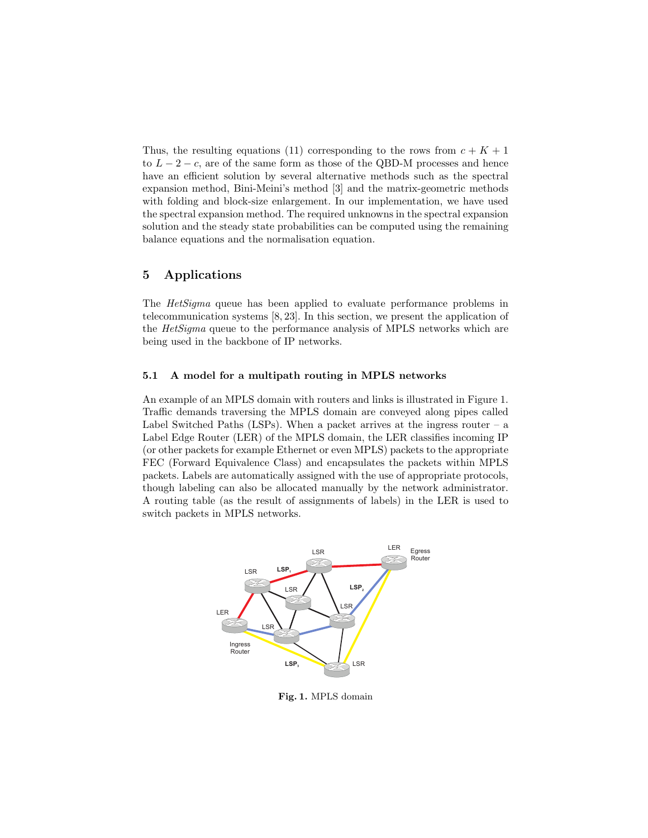Thus, the resulting equations (11) corresponding to the rows from  $c + K + 1$ to  $L - 2 - c$ , are of the same form as those of the QBD-M processes and hence have an efficient solution by several alternative methods such as the spectral expansion method, Bini-Meini's method [3] and the matrix-geometric methods with folding and block-size enlargement. In our implementation, we have used the spectral expansion method. The required unknowns in the spectral expansion solution and the steady state probabilities can be computed using the remaining balance equations and the normalisation equation.

## 5 Applications

The HetSigma queue has been applied to evaluate performance problems in telecommunication systems [8, 23]. In this section, we present the application of the HetSigma queue to the performance analysis of MPLS networks which are being used in the backbone of IP networks.

#### 5.1 A model for a multipath routing in MPLS networks

An example of an MPLS domain with routers and links is illustrated in Figure 1. Traffic demands traversing the MPLS domain are conveyed along pipes called Label Switched Paths (LSPs). When a packet arrives at the ingress router – a Label Edge Router (LER) of the MPLS domain, the LER classifies incoming IP (or other packets for example Ethernet or even MPLS) packets to the appropriate FEC (Forward Equivalence Class) and encapsulates the packets within MPLS packets. Labels are automatically assigned with the use of appropriate protocols, though labeling can also be allocated manually by the network administrator. A routing table (as the result of assignments of labels) in the LER is used to switch packets in MPLS networks.



Fig. 1. MPLS domain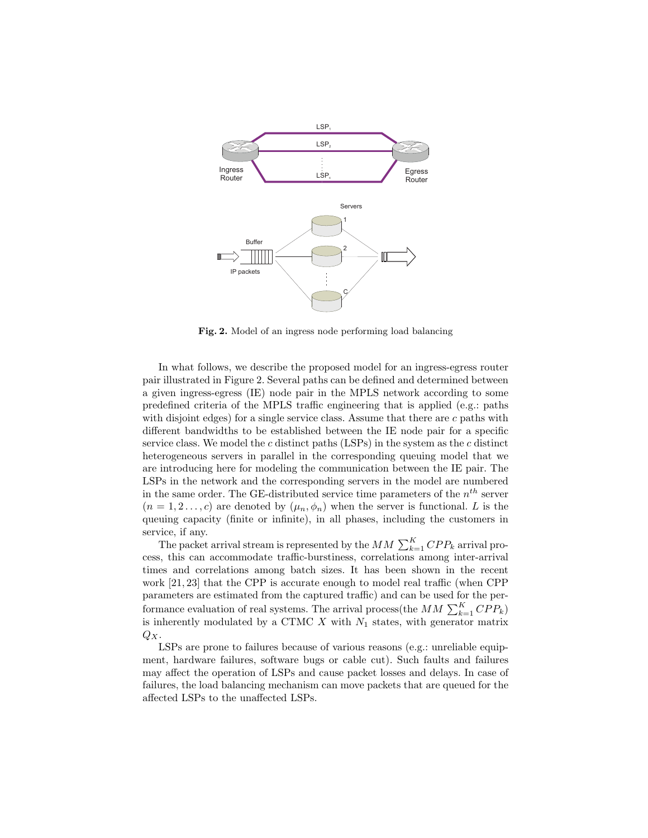

Fig. 2. Model of an ingress node performing load balancing

In what follows, we describe the proposed model for an ingress-egress router pair illustrated in Figure 2. Several paths can be defined and determined between a given ingress-egress (IE) node pair in the MPLS network according to some predefined criteria of the MPLS traffic engineering that is applied (e.g.: paths with disjoint edges) for a single service class. Assume that there are  $c$  paths with different bandwidths to be established between the IE node pair for a specific service class. We model the c distinct paths  $(LSPs)$  in the system as the c distinct heterogeneous servers in parallel in the corresponding queuing model that we are introducing here for modeling the communication between the IE pair. The LSPs in the network and the corresponding servers in the model are numbered in the same order. The GE-distributed service time parameters of the  $n^{th}$  server  $(n = 1, 2, \ldots, c)$  are denoted by  $(\mu_n, \phi_n)$  when the server is functional. L is the queuing capacity (finite or infinite), in all phases, including the customers in service, if any.

The packet arrival stream is represented by the  $MM \sum_{k=1}^{K} CPP_k$  arrival process, this can accommodate traffic-burstiness, correlations among inter-arrival times and correlations among batch sizes. It has been shown in the recent work [21, 23] that the CPP is accurate enough to model real traffic (when CPP parameters are estimated from the captured traffic) and can be used for the performance evaluation of real systems. The arrival process(the  $MM$   $\sum_{k=1}^{K} CPP_k$ ) is inherently modulated by a CTMC X with  $N_1$  states, with generator matrix  $Q_X$ .

LSPs are prone to failures because of various reasons (e.g.: unreliable equipment, hardware failures, software bugs or cable cut). Such faults and failures may affect the operation of LSPs and cause packet losses and delays. In case of failures, the load balancing mechanism can move packets that are queued for the affected LSPs to the unaffected LSPs.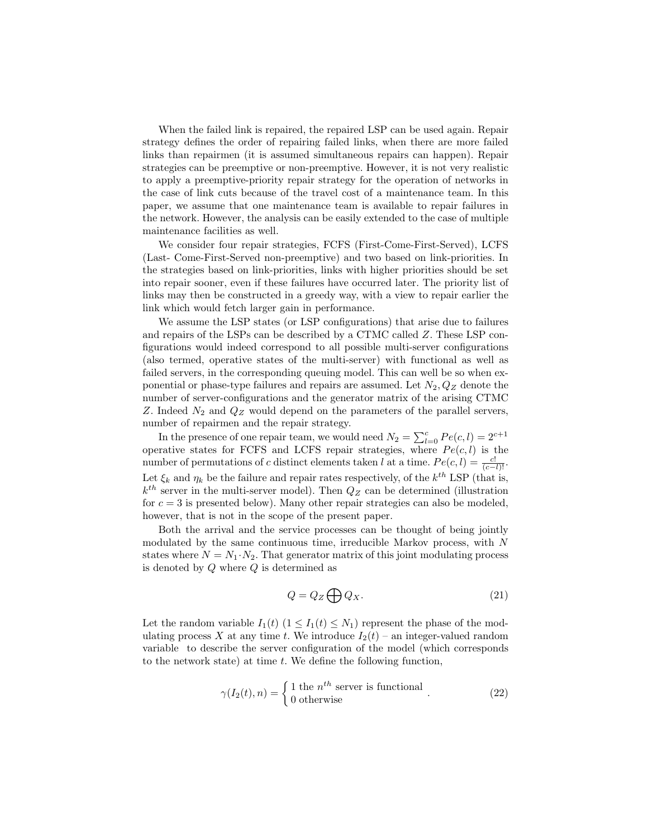When the failed link is repaired, the repaired LSP can be used again. Repair strategy defines the order of repairing failed links, when there are more failed links than repairmen (it is assumed simultaneous repairs can happen). Repair strategies can be preemptive or non-preemptive. However, it is not very realistic to apply a preemptive-priority repair strategy for the operation of networks in the case of link cuts because of the travel cost of a maintenance team. In this paper, we assume that one maintenance team is available to repair failures in the network. However, the analysis can be easily extended to the case of multiple maintenance facilities as well.

We consider four repair strategies, FCFS (First-Come-First-Served), LCFS (Last- Come-First-Served non-preemptive) and two based on link-priorities. In the strategies based on link-priorities, links with higher priorities should be set into repair sooner, even if these failures have occurred later. The priority list of links may then be constructed in a greedy way, with a view to repair earlier the link which would fetch larger gain in performance.

We assume the LSP states (or LSP configurations) that arise due to failures and repairs of the LSPs can be described by a CTMC called Z. These LSP configurations would indeed correspond to all possible multi-server configurations (also termed, operative states of the multi-server) with functional as well as failed servers, in the corresponding queuing model. This can well be so when exponential or phase-type failures and repairs are assumed. Let  $N_2, Q_Z$  denote the number of server-configurations and the generator matrix of the arising CTMC Z. Indeed  $N_2$  and  $Q_Z$  would depend on the parameters of the parallel servers, number of repairmen and the repair strategy.

In the presence of one repair team, we would need  $N_2 = \sum_{l=0}^{c} Pe(c, l) = 2^{c+1}$ operative states for FCFS and LCFS repair strategies, where  $Pe(c, l)$  is the number of permutations of c distinct elements taken l at a time.  $Pe(c, l) = \frac{c!}{(c-l)!}$ . Let  $\xi_k$  and  $\eta_k$  be the failure and repair rates respectively, of the  $k^{th}$  LSP (that is,  $k^{th}$  server in the multi-server model). Then  $Q_Z$  can be determined (illustration for  $c = 3$  is presented below). Many other repair strategies can also be modeled, however, that is not in the scope of the present paper.

Both the arrival and the service processes can be thought of being jointly modulated by the same continuous time, irreducible Markov process, with N states where  $N = N_1 \cdot N_2$ . That generator matrix of this joint modulating process is denoted by  $Q$  where  $Q$  is determined as

$$
Q = Q_Z \bigoplus Q_X. \tag{21}
$$

Let the random variable  $I_1(t)$   $(1 \leq I_1(t) \leq N_1)$  represent the phase of the modulating process X at any time t. We introduce  $I_2(t)$  – an integer-valued random variable to describe the server configuration of the model (which corresponds to the network state) at time  $t$ . We define the following function,

$$
\gamma(I_2(t), n) = \begin{cases} 1 \text{ the } n^{th} \text{ server is functional} \\ 0 \text{ otherwise} \end{cases} . \tag{22}
$$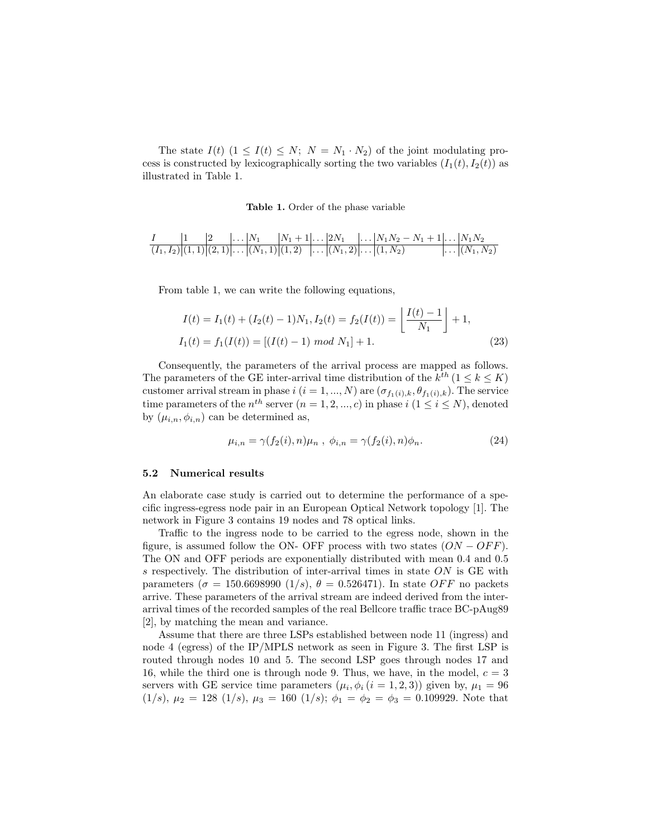The state  $I(t)$   $(1 \leq I(t) \leq N; N = N_1 \cdot N_2)$  of the joint modulating process is constructed by lexicographically sorting the two variables  $(I_1(t), I_2(t))$  as illustrated in Table 1.

#### Table 1. Order of the phase variable

$$
\frac{I}{(I_1,I_2)[(1,1)(2,1)...(N_1,1)(1,2)...(N_1,2)...(N_1,2)...(1,N_2)}\dots N_1N_2-N_1+1)...N_1N_2}{(I_1,I_2)[(1,1)(2,1)...(N_1,1)(1,2)...(N_1,2)...(1,N_2)...(1,N_2)}
$$

From table 1, we can write the following equations,

$$
I(t) = I_1(t) + (I_2(t) - 1)N_1, I_2(t) = f_2(I(t)) = \left\lfloor \frac{I(t) - 1}{N_1} \right\rfloor + 1,
$$
  
\n
$$
I_1(t) = f_1(I(t)) = [(I(t) - 1) \mod N_1] + 1.
$$
\n(23)

Consequently, the parameters of the arrival process are mapped as follows. The parameters of the GE inter-arrival time distribution of the  $k^{th}$   $(1 \leq k \leq K)$ customer arrival stream in phase  $i$   $(i = 1, ..., N)$  are  $(\sigma_{f_1(i),k}, \theta_{f_1(i),k})$ . The service time parameters of the  $n^{th}$  server  $(n = 1, 2, ..., c)$  in phase  $i (1 \le i \le N)$ , denoted by  $(\mu_{i,n}, \phi_{i,n})$  can be determined as,

$$
\mu_{i,n} = \gamma(f_2(i), n)\mu_n , \ \phi_{i,n} = \gamma(f_2(i), n)\phi_n.
$$
 (24)

#### 5.2 Numerical results

An elaborate case study is carried out to determine the performance of a specific ingress-egress node pair in an European Optical Network topology [1]. The network in Figure 3 contains 19 nodes and 78 optical links.

Traffic to the ingress node to be carried to the egress node, shown in the figure, is assumed follow the ON- OFF process with two states  $(ON-OFF)$ . The ON and OFF periods are exponentially distributed with mean 0.4 and 0.5 s respectively. The distribution of inter-arrival times in state  $ON$  is GE with parameters ( $\sigma = 150.6698990$  (1/s),  $\theta = 0.526471$ ). In state OFF no packets arrive. These parameters of the arrival stream are indeed derived from the interarrival times of the recorded samples of the real Bellcore traffic trace BC-pAug89 [2], by matching the mean and variance.

Assume that there are three LSPs established between node 11 (ingress) and node 4 (egress) of the IP/MPLS network as seen in Figure 3. The first LSP is routed through nodes 10 and 5. The second LSP goes through nodes 17 and 16, while the third one is through node 9. Thus, we have, in the model,  $c = 3$ servers with GE service time parameters  $(\mu_i, \phi_i \ (i=1, 2, 3))$  given by,  $\mu_1 = 96$  $(1/s), \mu_2 = 128$   $(1/s), \mu_3 = 160$   $(1/s); \phi_1 = \phi_2 = \phi_3 = 0.109929$ . Note that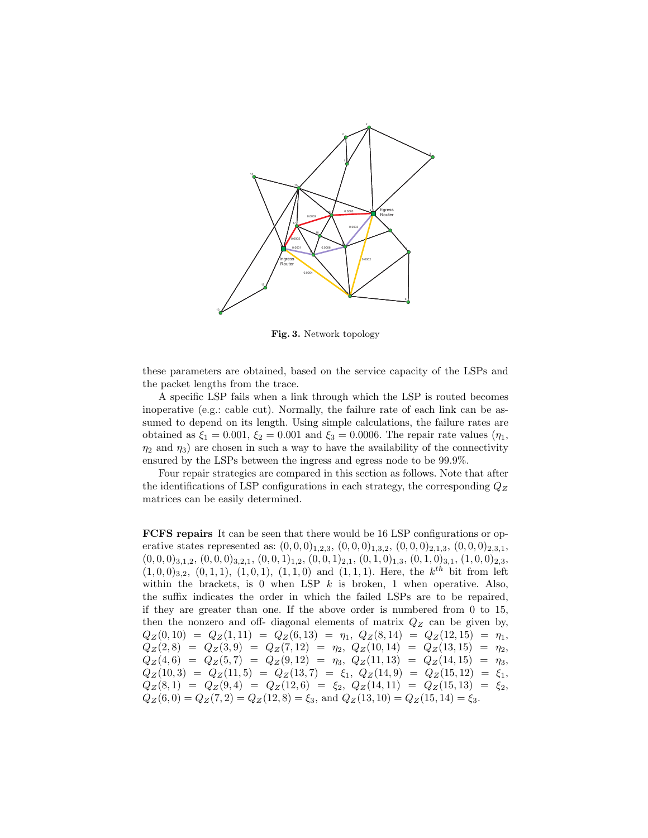

Fig. 3. Network topology

these parameters are obtained, based on the service capacity of the LSPs and the packet lengths from the trace.

A specific LSP fails when a link through which the LSP is routed becomes inoperative (e.g.: cable cut). Normally, the failure rate of each link can be assumed to depend on its length. Using simple calculations, the failure rates are obtained as  $\xi_1 = 0.001$ ,  $\xi_2 = 0.001$  and  $\xi_3 = 0.0006$ . The repair rate values  $(\eta_1, \eta_2)$  $\eta_2$  and  $\eta_3$ ) are chosen in such a way to have the availability of the connectivity ensured by the LSPs between the ingress and egress node to be 99.9%.

Four repair strategies are compared in this section as follows. Note that after the identifications of LSP configurations in each strategy, the corresponding  $Q_Z$ matrices can be easily determined.

FCFS repairs It can be seen that there would be 16 LSP configurations or operative states represented as:  $(0,0,0)_{1,2,3}$ ,  $(0,0,0)_{1,3,2}$ ,  $(0,0,0)_{2,1,3}$ ,  $(0,0,0)_{2,3,1}$ ,  $(0, 0, 0)_{3,1,2}, (0, 0, 0)_{3,2,1}, (0, 0, 1)_{1,2}, (0, 0, 1)_{2,1}, (0, 1, 0)_{1,3}, (0, 1, 0)_{3,1}, (1, 0, 0)_{2,3},$  $(1, 0, 0)_{3,2}$ ,  $(0, 1, 1)$ ,  $(1, 0, 1)$ ,  $(1, 1, 0)$  and  $(1, 1, 1)$ . Here, the  $k^{th}$  bit from left within the brackets, is 0 when LSP  $k$  is broken, 1 when operative. Also, the suffix indicates the order in which the failed LSPs are to be repaired, if they are greater than one. If the above order is numbered from 0 to 15, then the nonzero and off- diagonal elements of matrix  $Q_Z$  can be given by,  $Q_Z(0, 10) = Q_Z(1, 11) = Q_Z(6, 13) = \eta_1, Q_Z(8, 14) = Q_Z(12, 15) = \eta_1,$  $Q_Z(2, 8) = Q_Z(3, 9) = Q_Z(7, 12) = \eta_2, \ Q_Z(10, 14) = Q_Z(13, 15) = \eta_2,$  $Q_Z(4, 6) = Q_Z(5, 7) = Q_Z(9, 12) = \eta_3, \ Q_Z(11, 13) = Q_Z(14, 15) = \eta_3,$  $Q_Z(10, 3) = Q_Z(11, 5) = Q_Z(13, 7) = \xi_1, Q_Z(14, 9) = Q_Z(15, 12) = \xi_1,$  $Q_Z(8, 1) = Q_Z(9, 4) = Q_Z(12, 6) = \xi_2, Q_Z(14, 11) = Q_Z(15, 13) = \xi_2,$  $Q_Z(6, 0) = Q_Z(7, 2) = Q_Z(12, 8) = \xi_3$ , and  $Q_Z(13, 10) = Q_Z(15, 14) = \xi_3$ .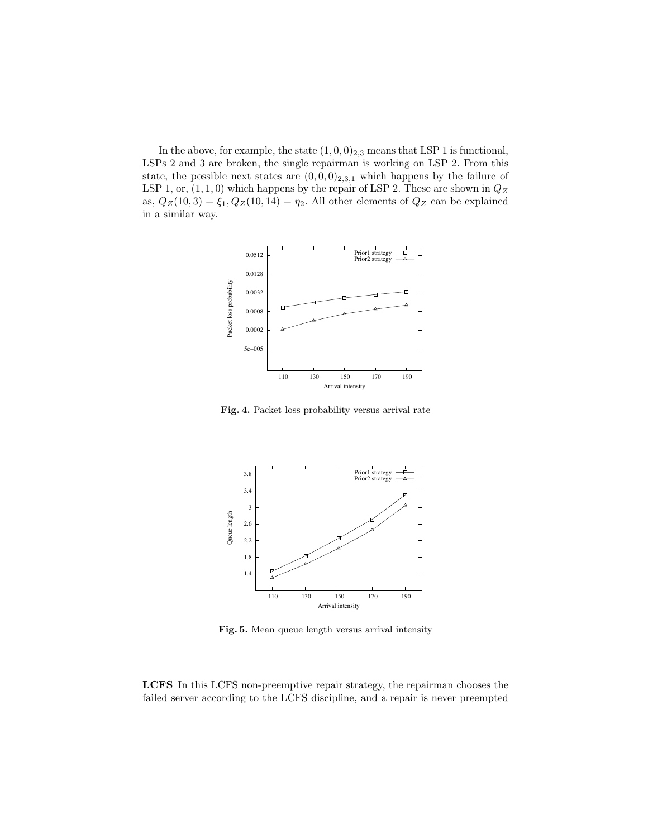In the above, for example, the state  $(1, 0, 0)_{2,3}$  means that LSP 1 is functional, LSPs 2 and 3 are broken, the single repairman is working on LSP 2. From this state, the possible next states are  $(0,0,0)_{2,3,1}$  which happens by the failure of LSP 1, or,  $(1, 1, 0)$  which happens by the repair of LSP 2. These are shown in  $Q_Z$ as,  $Q_Z(10, 3) = \xi_1, Q_Z(10, 14) = \eta_2$ . All other elements of  $Q_Z$  can be explained in a similar way.



Fig. 4. Packet loss probability versus arrival rate



Fig. 5. Mean queue length versus arrival intensity

LCFS In this LCFS non-preemptive repair strategy, the repairman chooses the failed server according to the LCFS discipline, and a repair is never preempted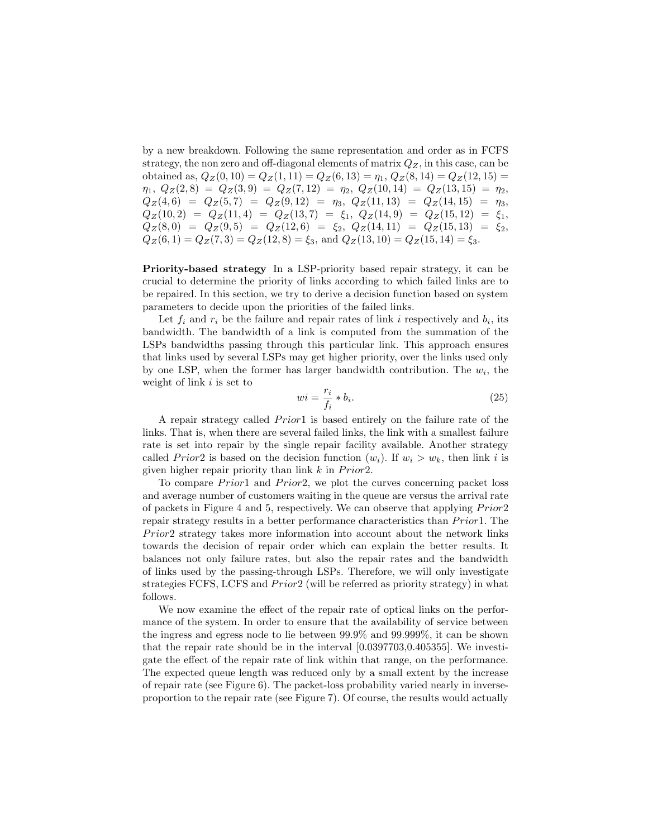by a new breakdown. Following the same representation and order as in FCFS strategy, the non zero and off-diagonal elements of matrix  $Q_Z$ , in this case, can be obtained as,  $Q_Z(0, 10) = Q_Z(1, 11) = Q_Z(6, 13) = \eta_1, Q_Z(8, 14) = Q_Z(12, 15) =$  $\eta_1, Q_Z(2,8) = Q_Z(3,9) = Q_Z(7,12) = \eta_2, Q_Z(10,14) = Q_Z(13,15) = \eta_2,$  $Q_Z(4, 6) = Q_Z(5, 7) = Q_Z(9, 12) = \eta_3, \ Q_Z(11, 13) = Q_Z(14, 15) = \eta_3,$  $Q_Z(10, 2) = Q_Z(11, 4) = Q_Z(13, 7) = \xi_1, Q_Z(14, 9) = Q_Z(15, 12) = \xi_1,$  $Q_Z(8, 0) = Q_Z(9, 5) = Q_Z(12, 6) = \xi_2, Q_Z(14, 11) = Q_Z(15, 13) = \xi_2,$  $Q_Z(6, 1) = Q_Z(7, 3) = Q_Z(12, 8) = \xi_3$ , and  $Q_Z(13, 10) = Q_Z(15, 14) = \xi_3$ .

Priority-based strategy In a LSP-priority based repair strategy, it can be crucial to determine the priority of links according to which failed links are to be repaired. In this section, we try to derive a decision function based on system parameters to decide upon the priorities of the failed links.

Let  $f_i$  and  $r_i$  be the failure and repair rates of link i respectively and  $b_i$ , its bandwidth. The bandwidth of a link is computed from the summation of the LSPs bandwidths passing through this particular link. This approach ensures that links used by several LSPs may get higher priority, over the links used only by one LSP, when the former has larger bandwidth contribution. The  $w_i$ , the weight of link  $i$  is set to

$$
wi = \frac{r_i}{f_i} * b_i.
$$
\n<sup>(25)</sup>

A repair strategy called *Prior*1 is based entirely on the failure rate of the links. That is, when there are several failed links, the link with a smallest failure rate is set into repair by the single repair facility available. Another strategy called Prior2 is based on the decision function  $(w_i)$ . If  $w_i > w_k$ , then link i is given higher repair priority than link  $k$  in  $Prior2$ .

To compare *Prior*1 and *Prior2*, we plot the curves concerning packet loss and average number of customers waiting in the queue are versus the arrival rate of packets in Figure 4 and 5, respectively. We can observe that applying  $Prior2$ repair strategy results in a better performance characteristics than *Prior*1. The Prior2 strategy takes more information into account about the network links towards the decision of repair order which can explain the better results. It balances not only failure rates, but also the repair rates and the bandwidth of links used by the passing-through LSPs. Therefore, we will only investigate strategies FCFS, LCFS and *Prior*2 (will be referred as priority strategy) in what follows.

We now examine the effect of the repair rate of optical links on the performance of the system. In order to ensure that the availability of service between the ingress and egress node to lie between 99.9% and 99.999%, it can be shown that the repair rate should be in the interval [0.0397703,0.405355]. We investigate the effect of the repair rate of link within that range, on the performance. The expected queue length was reduced only by a small extent by the increase of repair rate (see Figure 6). The packet-loss probability varied nearly in inverseproportion to the repair rate (see Figure 7). Of course, the results would actually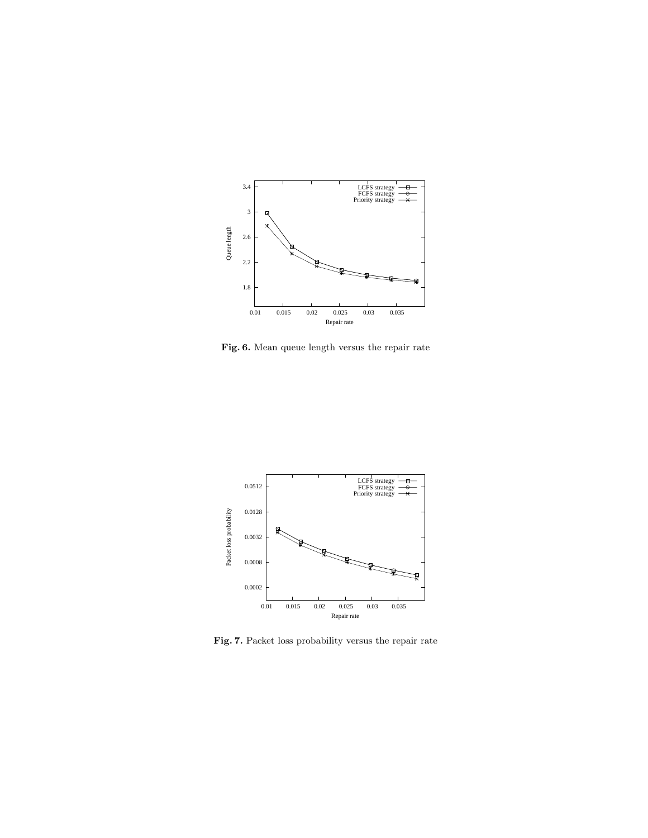

Fig. 6. Mean queue length versus the repair rate



Fig. 7. Packet loss probability versus the repair rate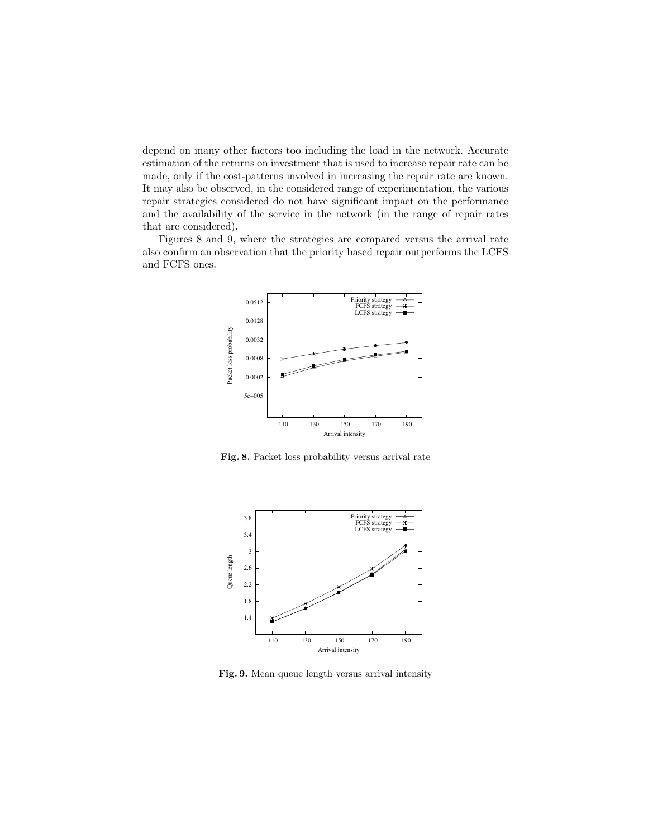depend on many other factors too including the load in the network. Accurate estimation of the returns on investment that is used to increase repair rate can be made, only if the cost-patterns involved in increasing the repair rate are known. It may also be observed, in the considered range of experimentation, the various repair strategies considered do not have significant impact on the performance and the availability of the service in the network (in the range of repair rates that are considered).

Figures 8 and 9, where the strategies are compared versus the arrival rate also confirm an observation that the priority based repair outperforms the LCFS and FCFS ones.



Fig. 8. Packet loss probability versus arrival rate



Fig. 9. Mean queue length versus arrival intensity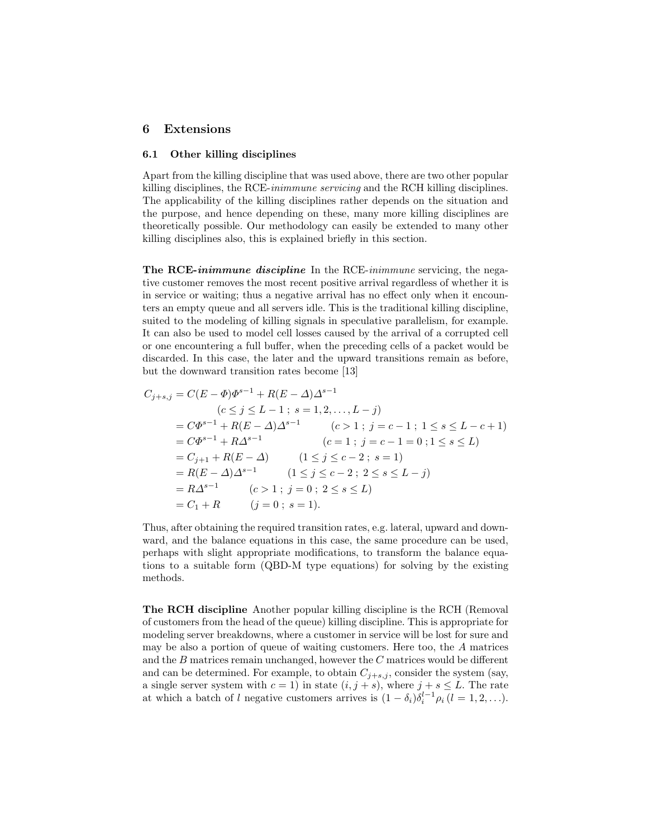## 6 Extensions

### 6.1 Other killing disciplines

Apart from the killing discipline that was used above, there are two other popular killing disciplines, the RCE-*inimmune servicing* and the RCH killing disciplines. The applicability of the killing disciplines rather depends on the situation and the purpose, and hence depending on these, many more killing disciplines are theoretically possible. Our methodology can easily be extended to many other killing disciplines also, this is explained briefly in this section.

The RCE-*inimmune discipline* In the RCE-*inimmune* servicing, the negative customer removes the most recent positive arrival regardless of whether it is in service or waiting; thus a negative arrival has no effect only when it encounters an empty queue and all servers idle. This is the traditional killing discipline, suited to the modeling of killing signals in speculative parallelism, for example. It can also be used to model cell losses caused by the arrival of a corrupted cell or one encountering a full buffer, when the preceding cells of a packet would be discarded. In this case, the later and the upward transitions remain as before, but the downward transition rates become [13]

$$
C_{j+s,j} = C(E - \Phi)\Phi^{s-1} + R(E - \Delta)\Delta^{s-1}
$$
  
\n
$$
(c \le j \le L - 1; s = 1, 2, ..., L - j)
$$
  
\n
$$
= C\Phi^{s-1} + R(E - \Delta)\Delta^{s-1} \qquad (c > 1; j = c - 1; 1 \le s \le L - c + 1)
$$
  
\n
$$
= C\Phi^{s-1} + R\Delta^{s-1} \qquad (c = 1; j = c - 1 = 0; 1 \le s \le L)
$$
  
\n
$$
= C_{j+1} + R(E - \Delta) \qquad (1 \le j \le c - 2; s = 1)
$$
  
\n
$$
= R(E - \Delta)\Delta^{s-1} \qquad (1 \le j \le c - 2; 2 \le s \le L - j)
$$
  
\n
$$
= R\Delta^{s-1} \qquad (c > 1; j = 0; 2 \le s \le L)
$$
  
\n
$$
= C_1 + R \qquad (j = 0; s = 1).
$$

Thus, after obtaining the required transition rates, e.g. lateral, upward and downward, and the balance equations in this case, the same procedure can be used, perhaps with slight appropriate modifications, to transform the balance equations to a suitable form (QBD-M type equations) for solving by the existing methods.

The RCH discipline Another popular killing discipline is the RCH (Removal of customers from the head of the queue) killing discipline. This is appropriate for modeling server breakdowns, where a customer in service will be lost for sure and may be also a portion of queue of waiting customers. Here too, the A matrices and the  $B$  matrices remain unchanged, however the  $C$  matrices would be different and can be determined. For example, to obtain  $C_{j+s,j}$ , consider the system (say, a single server system with  $c = 1$ ) in state  $(i, j + s)$ , where  $j + s \leq L$ . The rate at which a batch of l negative customers arrives is  $(1 - \delta_i)\delta_i^{l-1} \rho_i$   $(l = 1, 2, \ldots)$ .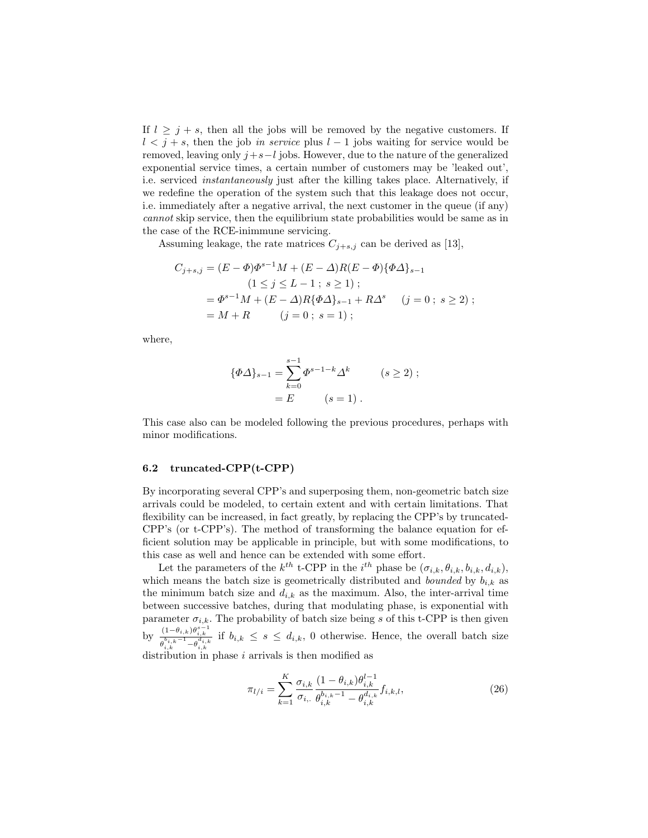If  $l \geq j + s$ , then all the jobs will be removed by the negative customers. If  $l < j + s$ , then the job in service plus  $l - 1$  jobs waiting for service would be removed, leaving only  $j+s-l$  jobs. However, due to the nature of the generalized exponential service times, a certain number of customers may be 'leaked out', i.e. serviced instantaneously just after the killing takes place. Alternatively, if we redefine the operation of the system such that this leakage does not occur, i.e. immediately after a negative arrival, the next customer in the queue (if any) cannot skip service, then the equilibrium state probabilities would be same as in the case of the RCE-inimmune servicing.

Assuming leakage, the rate matrices  $C_{j+s,j}$  can be derived as [13],

$$
C_{j+s,j} = (E - \Phi)\Phi^{s-1}M + (E - \Delta)R(E - \Phi)\{\Phi\Delta\}_{s-1}
$$
  
\n
$$
(1 \le j \le L - 1; s \ge 1);
$$
  
\n
$$
= \Phi^{s-1}M + (E - \Delta)R\{\Phi\Delta\}_{s-1} + R\Delta^s \quad (j = 0; s \ge 2);
$$
  
\n
$$
= M + R \quad (j = 0; s = 1);
$$

where,

$$
\begin{aligned} \{\Phi \Delta\}_{s-1} &= \sum_{k=0}^{s-1} \Phi^{s-1-k} \Delta^k & (s \ge 2) \; ; \\ &= E & (s = 1) \; . \end{aligned}
$$

This case also can be modeled following the previous procedures, perhaps with minor modifications.

#### 6.2 truncated-CPP(t-CPP)

By incorporating several CPP's and superposing them, non-geometric batch size arrivals could be modeled, to certain extent and with certain limitations. That flexibility can be increased, in fact greatly, by replacing the CPP's by truncated-CPP's (or t-CPP's). The method of transforming the balance equation for efficient solution may be applicable in principle, but with some modifications, to this case as well and hence can be extended with some effort.

Let the parameters of the  $k^{th}$  t-CPP in the  $i^{th}$  phase be  $(\sigma_{i,k}, \theta_{i,k}, b_{i,k}, d_{i,k})$ , which means the batch size is geometrically distributed and *bounded* by  $b_{i,k}$  as the minimum batch size and  $d_{i,k}$  as the maximum. Also, the inter-arrival time between successive batches, during that modulating phase, is exponential with parameter  $\sigma_{i,k}$ . The probability of batch size being s of this t-CPP is then given by  $\frac{(1-\theta_{i,k})\theta_{i,k}^{s-1}}{b_{i,k}-1}$  $\frac{\partial^{k} u}{\partial t_{i,k}-1}$   $\frac{\partial^{k} u}{\partial t_{i,k}-1}$  if  $b_{i,k} \leq s \leq d_{i,k}$ , 0 otherwise. Hence, the overall batch size distribution in phase  $i$  arrivals is then modified as

$$
\pi_{l/i} = \sum_{k=1}^{K} \frac{\sigma_{i,k}}{\sigma_{i,k}} \frac{(1 - \theta_{i,k}) \theta_{i,k}^{l-1}}{\theta_{i,k}^{b_{i,k} - 1} - \theta_{i,k}^{d_{i,k}}} f_{i,k,l},
$$
\n(26)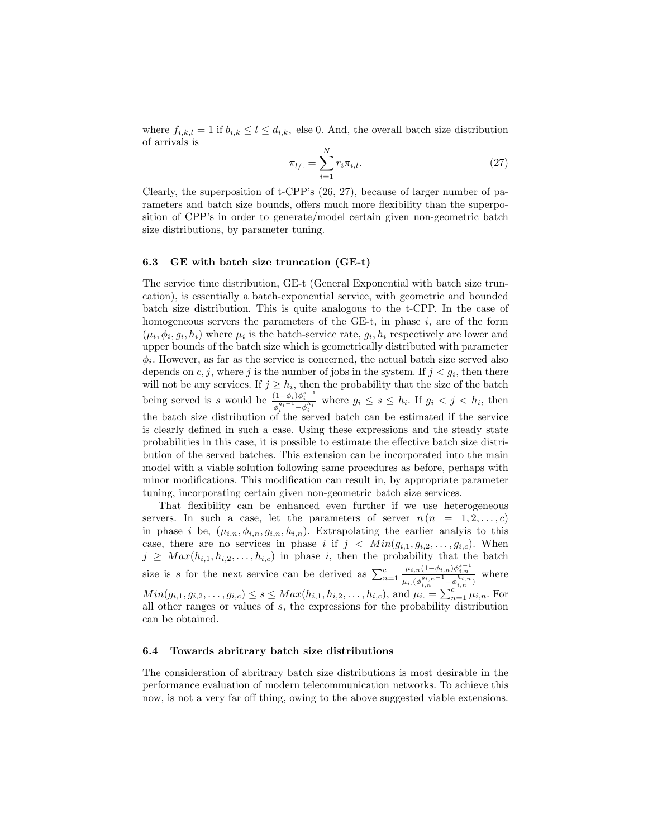where  $f_{i,k,l} = 1$  if  $b_{i,k} \leq l \leq d_{i,k}$ , else 0. And, the overall batch size distribution of arrivals is

$$
\pi_{l/.} = \sum_{i=1}^{N} r_i \pi_{i,l}.
$$
\n(27)

Clearly, the superposition of t-CPP's (26, 27), because of larger number of parameters and batch size bounds, offers much more flexibility than the superposition of CPP's in order to generate/model certain given non-geometric batch size distributions, by parameter tuning.

### 6.3 GE with batch size truncation (GE-t)

The service time distribution, GE-t (General Exponential with batch size truncation), is essentially a batch-exponential service, with geometric and bounded batch size distribution. This is quite analogous to the t-CPP. In the case of homogeneous servers the parameters of the GE-t, in phase  $i$ , are of the form  $(\mu_i, \phi_i, g_i, h_i)$  where  $\mu_i$  is the batch-service rate,  $g_i, h_i$  respectively are lower and upper bounds of the batch size which is geometrically distributed with parameter  $\phi_i$ . However, as far as the service is concerned, the actual batch size served also depends on  $c, j$ , where j is the number of jobs in the system. If  $j < g_i$ , then there will not be any services. If  $j \geq h_i$ , then the probability that the size of the batch being served is s would be  $\frac{(1-\phi_i)\phi_i^{s-1}}{\phi_i^{g_i-1}-\phi_i^{h_i}}$  where  $g_i \le s \le h_i$ . If  $g_i < j < h_i$ , then the batch size distribution of the served batch can be estimated if the service is clearly defined in such a case. Using these expressions and the steady state probabilities in this case, it is possible to estimate the effective batch size distribution of the served batches. This extension can be incorporated into the main model with a viable solution following same procedures as before, perhaps with minor modifications. This modification can result in, by appropriate parameter tuning, incorporating certain given non-geometric batch size services.

That flexibility can be enhanced even further if we use heterogeneous servers. In such a case, let the parameters of server  $n (n = 1, 2, \ldots, c)$ in phase i be,  $(\mu_{i,n}, \phi_{i,n}, g_{i,n}, h_{i,n})$ . Extrapolating the earlier analyis to this case, there are no services in phase i if  $j < Min(g_{i,1}, g_{i,2}, \ldots, g_{i,c})$ . When  $j \geq \text{Max}(h_{i,1}, h_{i,2}, \ldots, h_{i,c})$  in phase i, then the probability that the batch size is s for the next service can be derived as  $\sum_{n=1}^{c}$  $\mu_{i,n}(1-\phi_{i,n})\phi_{i,n}^{s-1}$  $\mu_{i.}(\phi^{g_{i,n}-1}_{i,n}-\phi^{h_{i,n}}_{i,n})$ where  $Min(g_{i,1}, g_{i,2}, \ldots, g_{i,c}) \leq s \leq Max(h_{i,1}, h_{i,2}, \ldots, h_{i,c}),$  and  $\mu_i = \sum_{n=1}^{c} \mu_{i,n}$ . For all other ranges or values of s, the expressions for the probability distribution can be obtained.

### 6.4 Towards abritrary batch size distributions

The consideration of abritrary batch size distributions is most desirable in the performance evaluation of modern telecommunication networks. To achieve this now, is not a very far off thing, owing to the above suggested viable extensions.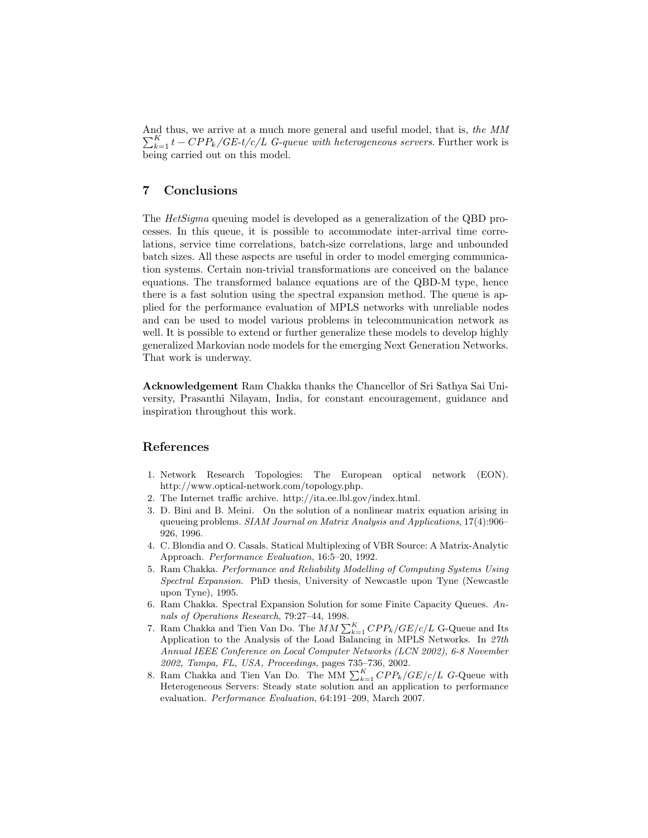And thus, we arrive at a much more general and useful model, that is, the MM  $\sum_{k=1}^{K} t - CPP_k/GE\text{-}t/c/L$  G-queue with heterogeneous servers. Further work is being carried out on this model.

### 7 Conclusions

The *HetSigma* queuing model is developed as a generalization of the QBD processes. In this queue, it is possible to accommodate inter-arrival time correlations, service time correlations, batch-size correlations, large and unbounded batch sizes. All these aspects are useful in order to model emerging communication systems. Certain non-trivial transformations are conceived on the balance equations. The transformed balance equations are of the QBD-M type, hence there is a fast solution using the spectral expansion method. The queue is applied for the performance evaluation of MPLS networks with unreliable nodes and can be used to model various problems in telecommunication network as well. It is possible to extend or further generalize these models to develop highly generalized Markovian node models for the emerging Next Generation Networks. That work is underway.

Acknowledgement Ram Chakka thanks the Chancellor of Sri Sathya Sai University, Prasanthi Nilayam, India, for constant encouragement, guidance and inspiration throughout this work.

## References

- 1. Network Research Topologies: The European optical network (EON). http://www.optical-network.com/topology.php.
- 2. The Internet traffic archive. http://ita.ee.lbl.gov/index.html.
- 3. D. Bini and B. Meini. On the solution of a nonlinear matrix equation arising in queueing problems. SIAM Journal on Matrix Analysis and Applications, 17(4):906– 926, 1996.
- 4. C. Blondia and O. Casals. Statical Multiplexing of VBR Source: A Matrix-Analytic Approach. Performance Evaluation, 16:5–20, 1992.
- 5. Ram Chakka. Performance and Reliability Modelling of Computing Systems Using Spectral Expansion. PhD thesis, University of Newcastle upon Tyne (Newcastle upon Tyne), 1995.
- 6. Ram Chakka. Spectral Expansion Solution for some Finite Capacity Queues. Annals of Operations Research, 79:27–44, 1998.
- 7. Ram Chakka and Tien Van Do. The  $MM\sum_{k=1}^K CPP_k/GE/c/L$  G-Queue and Its Application to the Analysis of the Load Balancing in MPLS Networks. In 27th Annual IEEE Conference on Local Computer Networks (LCN 2002), 6-8 November 2002, Tampa, FL, USA, Proceedings, pages 735–736, 2002.
- 8. Ram Chakka and Tien Van Do. The MM  $\sum_{k=1}^{K} CPP_k/GE/c/L$  G-Queue with Heterogeneous Servers: Steady state solution and an application to performance evaluation. Performance Evaluation, 64:191–209, March 2007.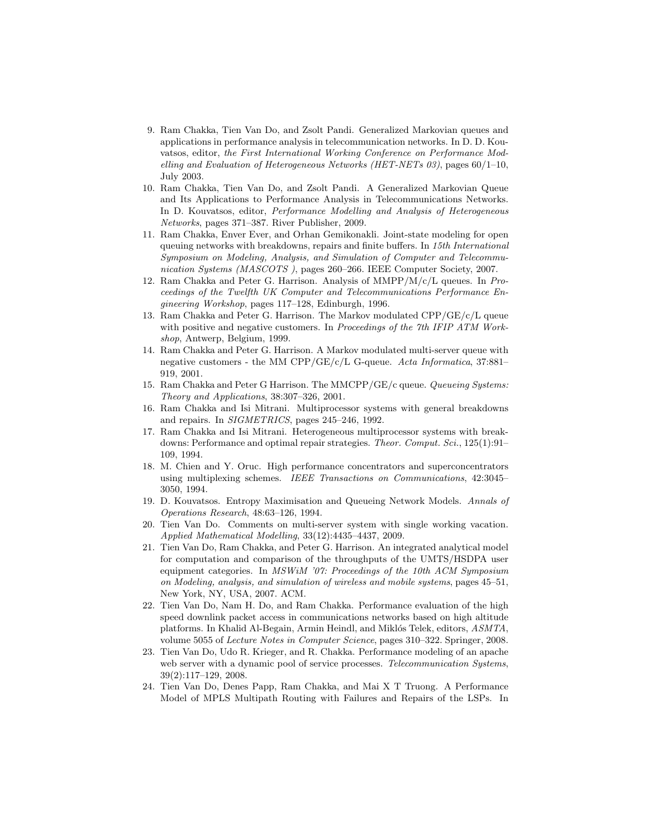- 9. Ram Chakka, Tien Van Do, and Zsolt Pandi. Generalized Markovian queues and applications in performance analysis in telecommunication networks. In D. D. Kouvatsos, editor, the First International Working Conference on Performance Modelling and Evaluation of Heterogeneous Networks (HET-NETs 03), pages  $60/1-10$ , July 2003.
- 10. Ram Chakka, Tien Van Do, and Zsolt Pandi. A Generalized Markovian Queue and Its Applications to Performance Analysis in Telecommunications Networks. In D. Kouvatsos, editor, Performance Modelling and Analysis of Heterogeneous Networks, pages 371–387. River Publisher, 2009.
- 11. Ram Chakka, Enver Ever, and Orhan Gemikonakli. Joint-state modeling for open queuing networks with breakdowns, repairs and finite buffers. In 15th International Symposium on Modeling, Analysis, and Simulation of Computer and Telecommunication Systems (MASCOTS ), pages 260–266. IEEE Computer Society, 2007.
- 12. Ram Chakka and Peter G. Harrison. Analysis of MMPP/M/c/L queues. In Proceedings of the Twelfth UK Computer and Telecommunications Performance Engineering Workshop, pages 117–128, Edinburgh, 1996.
- 13. Ram Chakka and Peter G. Harrison. The Markov modulated CPP/GE/c/L queue with positive and negative customers. In Proceedings of the 7th IFIP ATM Workshop, Antwerp, Belgium, 1999.
- 14. Ram Chakka and Peter G. Harrison. A Markov modulated multi-server queue with negative customers - the MM CPP/GE/c/L G-queue. Acta Informatica, 37:881– 919, 2001.
- 15. Ram Chakka and Peter G Harrison. The MMCPP/GE/c queue. Queueing Systems: Theory and Applications, 38:307–326, 2001.
- 16. Ram Chakka and Isi Mitrani. Multiprocessor systems with general breakdowns and repairs. In SIGMETRICS, pages 245–246, 1992.
- 17. Ram Chakka and Isi Mitrani. Heterogeneous multiprocessor systems with breakdowns: Performance and optimal repair strategies. Theor. Comput. Sci., 125(1):91– 109, 1994.
- 18. M. Chien and Y. Oruc. High performance concentrators and superconcentrators using multiplexing schemes. IEEE Transactions on Communications, 42:3045– 3050, 1994.
- 19. D. Kouvatsos. Entropy Maximisation and Queueing Network Models. Annals of Operations Research, 48:63–126, 1994.
- 20. Tien Van Do. Comments on multi-server system with single working vacation. Applied Mathematical Modelling, 33(12):4435–4437, 2009.
- 21. Tien Van Do, Ram Chakka, and Peter G. Harrison. An integrated analytical model for computation and comparison of the throughputs of the UMTS/HSDPA user equipment categories. In MSWiM '07: Proceedings of the 10th ACM Symposium on Modeling, analysis, and simulation of wireless and mobile systems, pages 45–51, New York, NY, USA, 2007. ACM.
- 22. Tien Van Do, Nam H. Do, and Ram Chakka. Performance evaluation of the high speed downlink packet access in communications networks based on high altitude platforms. In Khalid Al-Begain, Armin Heindl, and Miklós Telek, editors, ASMTA, volume 5055 of Lecture Notes in Computer Science, pages 310–322. Springer, 2008.
- 23. Tien Van Do, Udo R. Krieger, and R. Chakka. Performance modeling of an apache web server with a dynamic pool of service processes. Telecommunication Systems, 39(2):117–129, 2008.
- 24. Tien Van Do, Denes Papp, Ram Chakka, and Mai X T Truong. A Performance Model of MPLS Multipath Routing with Failures and Repairs of the LSPs. In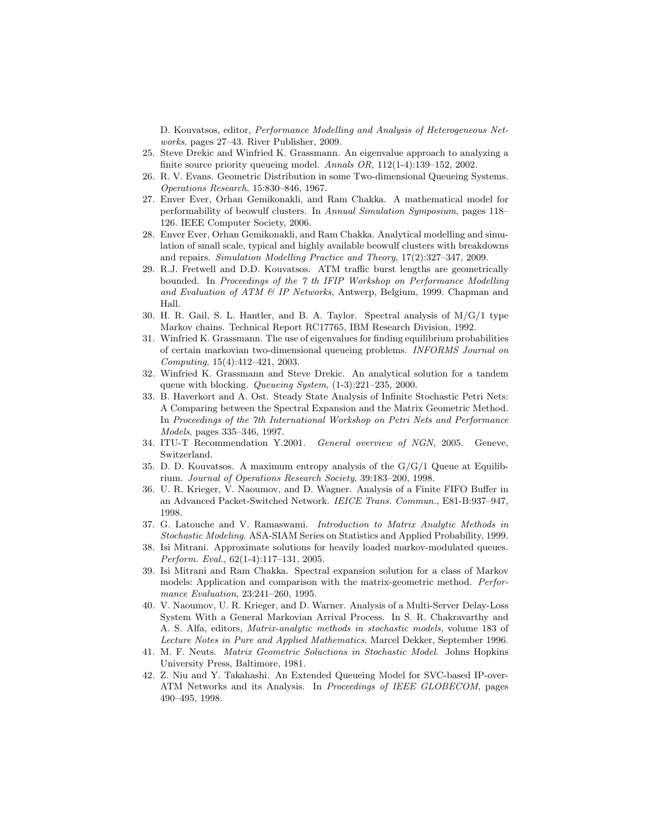D. Kouvatsos, editor, Performance Modelling and Analysis of Heterogeneous Networks, pages 27–43. River Publisher, 2009.

- 25. Steve Drekic and Winfried K. Grassmann. An eigenvalue approach to analyzing a finite source priority queueing model. Annals OR, 112(1-4):139–152, 2002.
- 26. R. V. Evans. Geometric Distribution in some Two-dimensional Queueing Systems. Operations Research, 15:830–846, 1967.
- 27. Enver Ever, Orhan Gemikonakli, and Ram Chakka. A mathematical model for performability of beowulf clusters. In Annual Simulation Symposium, pages 118– 126. IEEE Computer Society, 2006.
- 28. Enver Ever, Orhan Gemikonakli, and Ram Chakka. Analytical modelling and simulation of small scale, typical and highly available beowulf clusters with breakdowns and repairs. Simulation Modelling Practice and Theory, 17(2):327–347, 2009.
- 29. R.J. Fretwell and D.D. Kouvatsos. ATM traffic burst lengths are geometrically bounded. In Proceedings of the 7 th IFIP Workshop on Performance Modelling and Evaluation of ATM & IP Networks, Antwerp, Belgium, 1999. Chapman and Hall.
- 30. H. R. Gail, S. L. Hantler, and B. A. Taylor. Spectral analysis of M/G/1 type Markov chains. Technical Report RC17765, IBM Research Division, 1992.
- 31. Winfried K. Grassmann. The use of eigenvalues for finding equilibrium probabilities of certain markovian two-dimensional queueing problems. INFORMS Journal on Computing, 15(4):412–421, 2003.
- 32. Winfried K. Grassmann and Steve Drekic. An analytical solution for a tandem queue with blocking. Queueing System,  $(1-3):221-235, 2000$ .
- 33. B. Haverkort and A. Ost. Steady State Analysis of Infinite Stochastic Petri Nets: A Comparing between the Spectral Expansion and the Matrix Geometric Method. In Proceedings of the 7th International Workshop on Petri Nets and Performance Models, pages 335–346, 1997.
- 34. ITU-T Recommendation Y.2001. General overview of NGN, 2005. Geneve, Switzerland.
- 35. D. D. Kouvatsos. A maximum entropy analysis of the  $G/G/1$  Queue at Equilibrium. Journal of Operations Research Society, 39:183–200, 1998.
- 36. U. R. Krieger, V. Naoumov, and D. Wagner. Analysis of a Finite FIFO Buffer in an Advanced Packet-Switched Network. IEICE Trans. Commun., E81-B:937–947, 1998.
- 37. G. Latouche and V. Ramaswami. Introduction to Matrix Analytic Methods in Stochastic Modeling. ASA-SIAM Series on Statistics and Applied Probability, 1999.
- 38. Isi Mitrani. Approximate solutions for heavily loaded markov-modulated queues. Perform. Eval., 62(1-4):117–131, 2005.
- 39. Isi Mitrani and Ram Chakka. Spectral expansion solution for a class of Markov models: Application and comparison with the matrix-geometric method. Performance Evaluation, 23:241–260, 1995.
- 40. V. Naoumov, U. R. Krieger, and D. Warner. Analysis of a Multi-Server Delay-Loss System With a General Markovian Arrival Process. In S. R. Chakravarthy and A. S. Alfa, editors, Matrix-analytic methods in stochastic models, volume 183 of Lecture Notes in Pure and Applied Mathematics. Marcel Dekker, September 1996.
- 41. M. F. Neuts. Matrix Geometric Soluctions in Stochastic Model. Johns Hopkins University Press, Baltimore, 1981.
- 42. Z. Niu and Y. Takahashi. An Extended Queueing Model for SVC-based IP-over-ATM Networks and its Analysis. In Proceedings of IEEE GLOBECOM, pages 490–495, 1998.